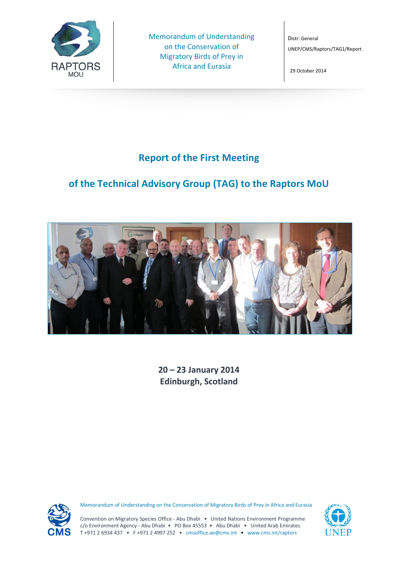

Memorandum of Understanding on the Conservation of Migratory Birds of Prey in Africa and Eurasia

Distr: General UNEP/CMS/Raptors/TAG1/Report

29 October 2014

## **Report of the First Meeting**

# **of the Technical Advisory Group (TAG) to the Raptors MoU**



**20 – 23 January 2014 Edinburgh, Scotland**



Memorandum of Understanding on the Conservation of Migratory Birds of Prey in Africa and Eurasia



Convention on Migratory Species Office - Abu Dhabi • United Nations Environment Programme c/o Environment Agency - Abu Dhabi • PO Box 45553 • Abu Dhabi • United Arab Emirates T +971 2 6934 437 • F +971 2 4997 252 • cmsoffice.ae@cms.int • www.cms.int/raptors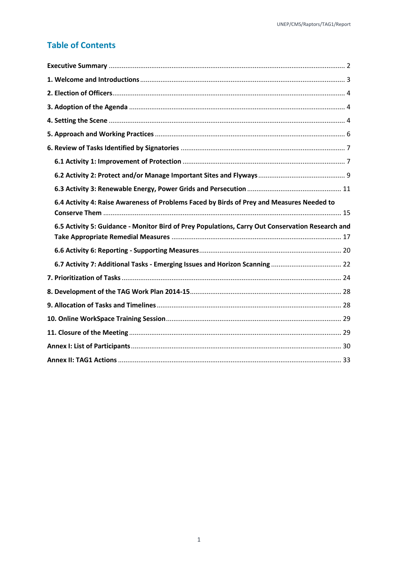## **Table of Contents**

| 6.4 Activity 4: Raise Awareness of Problems Faced by Birds of Prey and Measures Needed to        |
|--------------------------------------------------------------------------------------------------|
|                                                                                                  |
|                                                                                                  |
| 6.5 Activity 5: Guidance - Monitor Bird of Prey Populations, Carry Out Conservation Research and |
|                                                                                                  |
|                                                                                                  |
|                                                                                                  |
|                                                                                                  |
|                                                                                                  |
|                                                                                                  |
|                                                                                                  |
|                                                                                                  |
|                                                                                                  |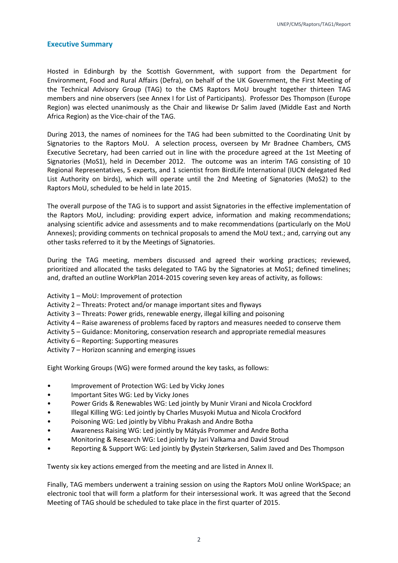#### <span id="page-2-0"></span>**Executive Summary**

Hosted in Edinburgh by the Scottish Government, with support from the Department for Environment, Food and Rural Affairs (Defra), on behalf of the UK Government, the First Meeting of the Technical Advisory Group (TAG) to the CMS Raptors MoU brought together thirteen TAG members and nine observers (see Annex I for List of Participants). Professor Des Thompson (Europe Region) was elected unanimously as the Chair and likewise Dr Salim Javed (Middle East and North Africa Region) as the Vice-chair of the TAG.

During 2013, the names of nominees for the TAG had been submitted to the Coordinating Unit by Signatories to the Raptors MoU. A selection process, overseen by Mr Bradnee Chambers, CMS Executive Secretary, had been carried out in line with the procedure agreed at the 1st Meeting of Signatories (MoS1), held in December 2012. The outcome was an interim TAG consisting of 10 Regional Representatives, 5 experts, and 1 scientist from BirdLife International (IUCN delegated Red List Authority on birds), which will operate until the 2nd Meeting of Signatories (MoS2) to the Raptors MoU, scheduled to be held in late 2015.

The overall purpose of the TAG is to support and assist Signatories in the effective implementation of the Raptors MoU, including: providing expert advice, information and making recommendations; analysing scientific advice and assessments and to make recommendations (particularly on the MoU Annexes); providing comments on technical proposals to amend the MoU text.; and, carrying out any other tasks referred to it by the Meetings of Signatories.

During the TAG meeting, members discussed and agreed their working practices; reviewed, prioritized and allocated the tasks delegated to TAG by the Signatories at MoS1; defined timelines; and, drafted an outline WorkPlan 2014-2015 covering seven key areas of activity, as follows:

- Activity 1 MoU: Improvement of protection
- Activity 2 Threats: Protect and/or manage important sites and flyways
- Activity 3 Threats: Power grids, renewable energy, illegal killing and poisoning
- Activity 4 Raise awareness of problems faced by raptors and measures needed to conserve them
- Activity 5 Guidance: Monitoring, conservation research and appropriate remedial measures
- Activity 6 Reporting: Supporting measures
- Activity 7 Horizon scanning and emerging issues

Eight Working Groups (WG) were formed around the key tasks, as follows:

- Improvement of Protection WG: Led by Vicky Jones
- Important Sites WG: Led by Vicky Jones
- Power Grids & Renewables WG: Led jointly by Munir Virani and Nicola Crockford
- Illegal Killing WG: Led jointly by Charles Musyoki Mutua and Nicola Crockford
- Poisoning WG: Led jointly by Vibhu Prakash and Andre Botha
- Awareness Raising WG: Led jointly by Mátyás Prommer and Andre Botha
- Monitoring & Research WG: Led jointly by Jari Valkama and David Stroud
- Reporting & Support WG: Led jointly by Øystein Størkersen, Salim Javed and Des Thompson

Twenty six key actions emerged from the meeting and are listed in Annex II.

Finally, TAG members underwent a training session on using the Raptors MoU online WorkSpace; an electronic tool that will form a platform for their intersessional work. It was agreed that the Second Meeting of TAG should be scheduled to take place in the first quarter of 2015.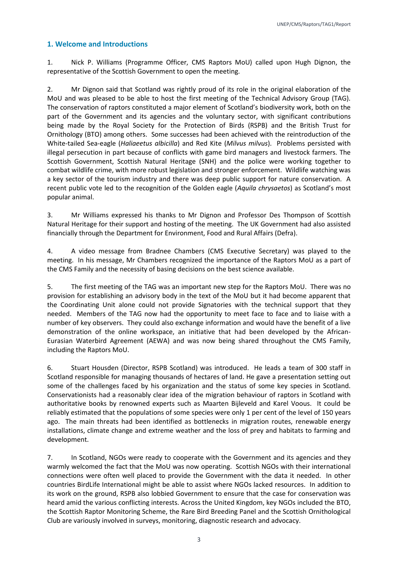## <span id="page-3-0"></span>**1. Welcome and Introductions**

1. Nick P. Williams (Programme Officer, CMS Raptors MoU) called upon Hugh Dignon, the representative of the Scottish Government to open the meeting.

2. Mr Dignon said that Scotland was rightly proud of its role in the original elaboration of the MoU and was pleased to be able to host the first meeting of the Technical Advisory Group (TAG). The conservation of raptors constituted a major element of Scotland's biodiversity work, both on the part of the Government and its agencies and the voluntary sector, with significant contributions being made by the Royal Society for the Protection of Birds (RSPB) and the British Trust for Ornithology (BTO) among others. Some successes had been achieved with the reintroduction of the White-tailed Sea-eagle (*Haliaeetus albicilla*) and Red Kite (*Milvus milvus*). Problems persisted with illegal persecution in part because of conflicts with game bird managers and livestock farmers. The Scottish Government, Scottish Natural Heritage (SNH) and the police were working together to combat wildlife crime, with more robust legislation and stronger enforcement. Wildlife watching was a key sector of the tourism industry and there was deep public support for nature conservation. A recent public vote led to the recognition of the Golden eagle (*Aquila chrysaetos*) as Scotland's most popular animal.

3. Mr Williams expressed his thanks to Mr Dignon and Professor Des Thompson of Scottish Natural Heritage for their support and hosting of the meeting. The UK Government had also assisted financially through the Department for Environment, Food and Rural Affairs (Defra).

4. A video message from Bradnee Chambers (CMS Executive Secretary) was played to the meeting. In his message, Mr Chambers recognized the importance of the Raptors MoU as a part of the CMS Family and the necessity of basing decisions on the best science available.

5. The first meeting of the TAG was an important new step for the Raptors MoU. There was no provision for establishing an advisory body in the text of the MoU but it had become apparent that the Coordinating Unit alone could not provide Signatories with the technical support that they needed. Members of the TAG now had the opportunity to meet face to face and to liaise with a number of key observers. They could also exchange information and would have the benefit of a live demonstration of the online workspace, an initiative that had been developed by the African-Eurasian Waterbird Agreement (AEWA) and was now being shared throughout the CMS Family, including the Raptors MoU.

6. Stuart Housden (Director, RSPB Scotland) was introduced. He leads a team of 300 staff in Scotland responsible for managing thousands of hectares of land. He gave a presentation setting out some of the challenges faced by his organization and the status of some key species in Scotland. Conservationists had a reasonably clear idea of the migration behaviour of raptors in Scotland with authoritative books by renowned experts such as Maarten Bijleveld and Karel Voous. It could be reliably estimated that the populations of some species were only 1 per cent of the level of 150 years ago. The main threats had been identified as bottlenecks in migration routes, renewable energy installations, climate change and extreme weather and the loss of prey and habitats to farming and development.

7. In Scotland, NGOs were ready to cooperate with the Government and its agencies and they warmly welcomed the fact that the MoU was now operating. Scottish NGOs with their international connections were often well placed to provide the Government with the data it needed. In other countries BirdLife International might be able to assist where NGOs lacked resources. In addition to its work on the ground, RSPB also lobbied Government to ensure that the case for conservation was heard amid the various conflicting interests. Across the United Kingdom, key NGOs included the BTO, the Scottish Raptor Monitoring Scheme, the Rare Bird Breeding Panel and the Scottish Ornithological Club are variously involved in surveys, monitoring, diagnostic research and advocacy.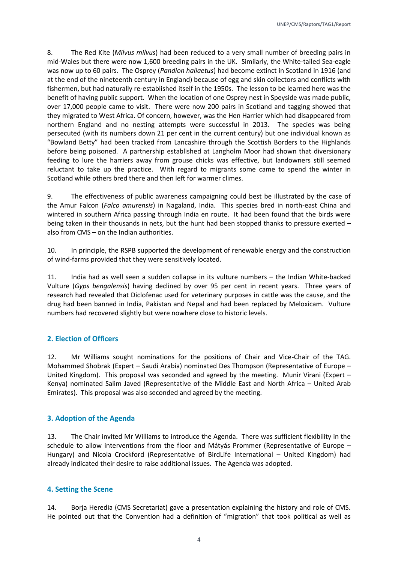8. The Red Kite (*Milvus milvus*) had been reduced to a very small number of breeding pairs in mid-Wales but there were now 1,600 breeding pairs in the UK. Similarly, the White-tailed Sea-eagle was now up to 60 pairs. The Osprey (*Pandion haliaetus*) had become extinct in Scotland in 1916 (and at the end of the nineteenth century in England) because of egg and skin collectors and conflicts with fishermen, but had naturally re-established itself in the 1950s. The lesson to be learned here was the benefit of having public support. When the location of one Osprey nest in Speyside was made public, over 17,000 people came to visit. There were now 200 pairs in Scotland and tagging showed that they migrated to West Africa. Of concern, however, was the Hen Harrier which had disappeared from northern England and no nesting attempts were successful in 2013. The species was being persecuted (with its numbers down 21 per cent in the current century) but one individual known as "Bowland Betty" had been tracked from Lancashire through the Scottish Borders to the Highlands before being poisoned. A partnership established at Langholm Moor had shown that diversionary feeding to lure the harriers away from grouse chicks was effective, but landowners still seemed reluctant to take up the practice. With regard to migrants some came to spend the winter in Scotland while others bred there and then left for warmer climes.

9. The effectiveness of public awareness campaigning could best be illustrated by the case of the Amur Falcon (*Falco amurensis*) in Nagaland, India. This species bred in north-east China and wintered in southern Africa passing through India en route. It had been found that the birds were being taken in their thousands in nets, but the hunt had been stopped thanks to pressure exerted – also from CMS – on the Indian authorities.

10. In principle, the RSPB supported the development of renewable energy and the construction of wind-farms provided that they were sensitively located.

11. India had as well seen a sudden collapse in its vulture numbers – the Indian White-backed Vulture (*Gyps bengalensis*) having declined by over 95 per cent in recent years. Three years of research had revealed that Diclofenac used for veterinary purposes in cattle was the cause, and the drug had been banned in India, Pakistan and Nepal and had been replaced by Meloxicam. Vulture numbers had recovered slightly but were nowhere close to historic levels.

## <span id="page-4-0"></span>**2. Election of Officers**

12. Mr Williams sought nominations for the positions of Chair and Vice-Chair of the TAG. Mohammed Shobrak (Expert – Saudi Arabia) nominated Des Thompson (Representative of Europe – United Kingdom). This proposal was seconded and agreed by the meeting. Munir Virani (Expert – Kenya) nominated Salim Javed (Representative of the Middle East and North Africa – United Arab Emirates). This proposal was also seconded and agreed by the meeting.

## <span id="page-4-1"></span>**3. Adoption of the Agenda**

13. The Chair invited Mr Williams to introduce the Agenda. There was sufficient flexibility in the schedule to allow interventions from the floor and Mátyás Prommer (Representative of Europe – Hungary) and Nicola Crockford (Representative of BirdLife International – United Kingdom) had already indicated their desire to raise additional issues. The Agenda was adopted.

## <span id="page-4-2"></span>**4. Setting the Scene**

14. Borja Heredia (CMS Secretariat) gave a presentation explaining the history and role of CMS. He pointed out that the Convention had a definition of "migration" that took political as well as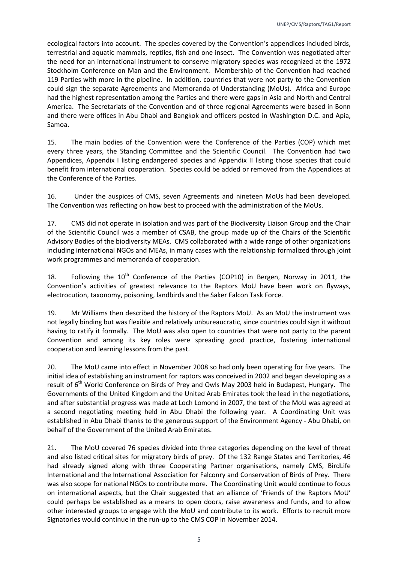ecological factors into account. The species covered by the Convention's appendices included birds, terrestrial and aquatic mammals, reptiles, fish and one insect. The Convention was negotiated after the need for an international instrument to conserve migratory species was recognized at the 1972 Stockholm Conference on Man and the Environment. Membership of the Convention had reached 119 Parties with more in the pipeline. In addition, countries that were not party to the Convention could sign the separate Agreements and Memoranda of Understanding (MoUs). Africa and Europe had the highest representation among the Parties and there were gaps in Asia and North and Central America. The Secretariats of the Convention and of three regional Agreements were based in Bonn and there were offices in Abu Dhabi and Bangkok and officers posted in Washington D.C. and Apia, Samoa.

15. The main bodies of the Convention were the Conference of the Parties (COP) which met every three years, the Standing Committee and the Scientific Council. The Convention had two Appendices, Appendix I listing endangered species and Appendix II listing those species that could benefit from international cooperation. Species could be added or removed from the Appendices at the Conference of the Parties.

16. Under the auspices of CMS, seven Agreements and nineteen MoUs had been developed. The Convention was reflecting on how best to proceed with the administration of the MoUs.

17. CMS did not operate in isolation and was part of the Biodiversity Liaison Group and the Chair of the Scientific Council was a member of CSAB, the group made up of the Chairs of the Scientific Advisory Bodies of the biodiversity MEAs. CMS collaborated with a wide range of other organizations including international NGOs and MEAs, in many cases with the relationship formalized through joint work programmes and memoranda of cooperation.

18. Following the  $10<sup>th</sup>$  Conference of the Parties (COP10) in Bergen, Norway in 2011, the Convention's activities of greatest relevance to the Raptors MoU have been work on flyways, electrocution, taxonomy, poisoning, landbirds and the Saker Falcon Task Force.

19. Mr Williams then described the history of the Raptors MoU. As an MoU the instrument was not legally binding but was flexible and relatively unbureaucratic, since countries could sign it without having to ratify it formally. The MoU was also open to countries that were not party to the parent Convention and among its key roles were spreading good practice, fostering international cooperation and learning lessons from the past.

20. The MoU came into effect in November 2008 so had only been operating for five years. The initial idea of establishing an instrument for raptors was conceived in 2002 and began developing as a result of  $6<sup>th</sup>$  World Conference on Birds of Prey and Owls May 2003 held in Budapest, Hungary. The Governments of the United Kingdom and the United Arab Emirates took the lead in the negotiations, and after substantial progress was made at Loch Lomond in 2007, the text of the MoU was agreed at a second negotiating meeting held in Abu Dhabi the following year. A Coordinating Unit was established in Abu Dhabi thanks to the generous support of the Environment Agency - Abu Dhabi, on behalf of the Government of the United Arab Emirates.

21. The MoU covered 76 species divided into three categories depending on the level of threat and also listed critical sites for migratory birds of prey. Of the 132 Range States and Territories, 46 had already signed along with three Cooperating Partner organisations, namely CMS, BirdLife International and the International Association for Falconry and Conservation of Birds of Prey. There was also scope for national NGOs to contribute more. The Coordinating Unit would continue to focus on international aspects, but the Chair suggested that an alliance of 'Friends of the Raptors MoU' could perhaps be established as a means to open doors, raise awareness and funds, and to allow other interested groups to engage with the MoU and contribute to its work. Efforts to recruit more Signatories would continue in the run-up to the CMS COP in November 2014.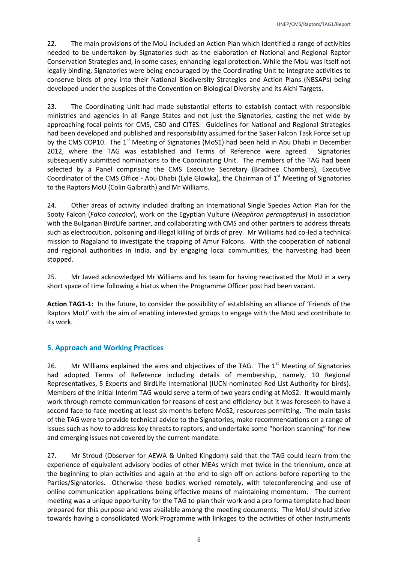22. The main provisions of the MoU included an Action Plan which identified a range of activities needed to be undertaken by Signatories such as the elaboration of National and Regional Raptor Conservation Strategies and, in some cases, enhancing legal protection. While the MoU was itself not legally binding, Signatories were being encouraged by the Coordinating Unit to integrate activities to conserve birds of prey into their National Biodiversity Strategies and Action Plans (NBSAPs) being developed under the auspices of the Convention on Biological Diversity and its Aichi Targets.

23. The Coordinating Unit had made substantial efforts to establish contact with responsible ministries and agencies in all Range States and not just the Signatories, casting the net wide by approaching focal points for CMS, CBD and CITES. Guidelines for National and Regional Strategies had been developed and published and responsibility assumed for the Saker Falcon Task Force set up by the CMS COP10. The  $1<sup>st</sup>$  Meeting of Signatories (MoS1) had been held in Abu Dhabi in December 2012, where the TAG was established and Terms of Reference were agreed. Signatories subsequently submitted nominations to the Coordinating Unit. The members of the TAG had been selected by a Panel comprising the CMS Executive Secretary (Bradnee Chambers), Executive Coordinator of the CMS Office - Abu Dhabi (Lyle Glowka), the Chairman of  $1<sup>st</sup>$  Meeting of Signatories to the Raptors MoU (Colin Galbraith) and Mr Williams.

24. Other areas of activity included drafting an International Single Species Action Plan for the Sooty Falcon (*Falco concolor*), work on the Egyptian Vulture (*Neophron percnopterus*) in association with the Bulgarian BirdLife partner, and collaborating with CMS and other partners to address threats such as electrocution, poisoning and illegal killing of birds of prey. Mr Williams had co-led a technical mission to Nagaland to investigate the trapping of Amur Falcons. With the cooperation of national and regional authorities in India, and by engaging local communities, the harvesting had been stopped.

25. Mr Javed acknowledged Mr Williams and his team for having reactivated the MoU in a very short space of time following a hiatus when the Programme Officer post had been vacant.

**Action TAG1-1:** In the future, to consider the possibility of establishing an alliance of 'Friends of the Raptors MoU' with the aim of enabling interested groups to engage with the MoU and contribute to its work.

## <span id="page-6-0"></span>**5. Approach and Working Practices**

26. Mr Williams explained the aims and objectives of the TAG. The  $1<sup>st</sup>$  Meeting of Signatories had adopted Terms of Reference including details of membership, namely, 10 Regional Representatives, 5 Experts and BirdLife International (IUCN nominated Red List Authority for birds). Members of the initial Interim TAG would serve a term of two years ending at MoS2. It would mainly work through remote communication for reasons of cost and efficiency but it was foreseen to have a second face-to-face meeting at least six months before MoS2, resources permitting. The main tasks of the TAG were to provide technical advice to the Signatories, make recommendations on a range of issues such as how to address key threats to raptors, and undertake some "horizon scanning" for new and emerging issues not covered by the current mandate.

27. Mr Stroud (Observer for AEWA & United Kingdom) said that the TAG could learn from the experience of equivalent advisory bodies of other MEAs which met twice in the triennium, once at the beginning to plan activities and again at the end to sign off on actions before reporting to the Parties/Signatories. Otherwise these bodies worked remotely, with teleconferencing and use of online communication applications being effective means of maintaining momentum. The current meeting was a unique opportunity for the TAG to plan their work and a pro forma template had been prepared for this purpose and was available among the meeting documents. The MoU should strive towards having a consolidated Work Programme with linkages to the activities of other instruments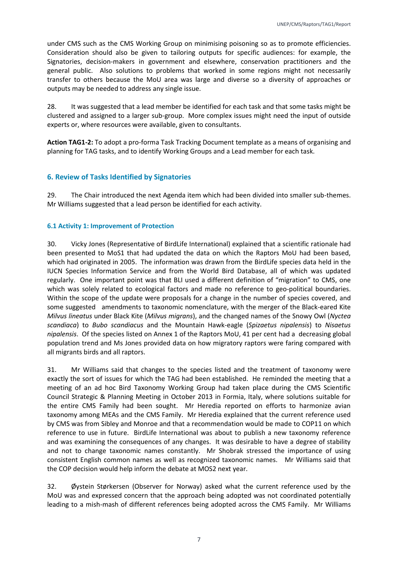under CMS such as the CMS Working Group on minimising poisoning so as to promote efficiencies. Consideration should also be given to tailoring outputs for specific audiences: for example, the Signatories, decision-makers in government and elsewhere, conservation practitioners and the general public. Also solutions to problems that worked in some regions might not necessarily transfer to others because the MoU area was large and diverse so a diversity of approaches or outputs may be needed to address any single issue.

28. It was suggested that a lead member be identified for each task and that some tasks might be clustered and assigned to a larger sub-group. More complex issues might need the input of outside experts or, where resources were available, given to consultants.

**Action TAG1-2:** To adopt a pro-forma Task Tracking Document template as a means of organising and planning for TAG tasks, and to identify Working Groups and a Lead member for each task.

#### <span id="page-7-0"></span>**6. Review of Tasks Identified by Signatories**

29. The Chair introduced the next Agenda item which had been divided into smaller sub-themes. Mr Williams suggested that a lead person be identified for each activity.

#### <span id="page-7-1"></span>**6.1 Activity 1: Improvement of Protection**

30. Vicky Jones (Representative of BirdLife International) explained that a scientific rationale had been presented to MoS1 that had updated the data on which the Raptors MoU had been based, which had originated in 2005. The information was drawn from the BirdLife species data held in the IUCN Species Information Service and from the World Bird Database, all of which was updated regularly. One important point was that BLI used a different definition of "migration" to CMS, one which was solely related to ecological factors and made no reference to geo-political boundaries. Within the scope of the update were proposals for a change in the number of species covered, and some suggested amendments to taxonomic nomenclature, with the merger of the Black-eared Kite *Milvus lineatus* under Black Kite (*Milvus migrans*), and the changed names of the Snowy Owl (*Nyctea scandiaca*) to *Bubo scandiacus* and the Mountain Hawk-eagle (*Spizaetus nipalensis*) to *Nisaetus nipalensis*. Of the species listed on Annex 1 of the Raptors MoU, 41 per cent had a decreasing global population trend and Ms Jones provided data on how migratory raptors were faring compared with all migrants birds and all raptors.

31. Mr Williams said that changes to the species listed and the treatment of taxonomy were exactly the sort of issues for which the TAG had been established. He reminded the meeting that a meeting of an ad hoc Bird Taxonomy Working Group had taken place during the CMS Scientific Council Strategic & Planning Meeting in October 2013 in Formia, Italy, where solutions suitable for the entire CMS Family had been sought. Mr Heredia reported on efforts to harmonize avian taxonomy among MEAs and the CMS Family. Mr Heredia explained that the current reference used by CMS was from Sibley and Monroe and that a recommendation would be made to COP11 on which reference to use in future. BirdLife International was about to publish a new taxonomy reference and was examining the consequences of any changes. It was desirable to have a degree of stability and not to change taxonomic names constantly. Mr Shobrak stressed the importance of using consistent English common names as well as recognized taxonomic names. Mr Williams said that the COP decision would help inform the debate at MOS2 next year.

32. Øystein Størkersen (Observer for Norway) asked what the current reference used by the MoU was and expressed concern that the approach being adopted was not coordinated potentially leading to a mish-mash of different references being adopted across the CMS Family. Mr Williams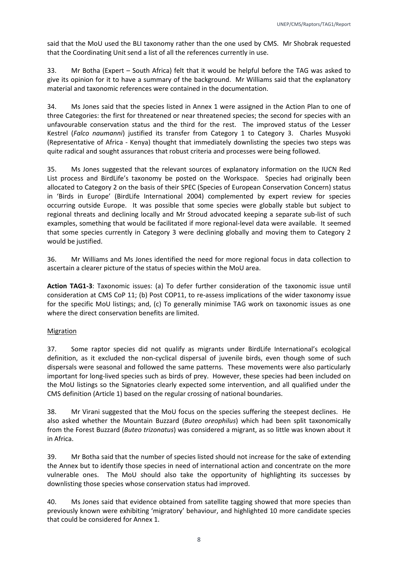said that the MoU used the BLI taxonomy rather than the one used by CMS. Mr Shobrak requested that the Coordinating Unit send a list of all the references currently in use.

33. Mr Botha (Expert – South Africa) felt that it would be helpful before the TAG was asked to give its opinion for it to have a summary of the background. Mr Williams said that the explanatory material and taxonomic references were contained in the documentation.

34. Ms Jones said that the species listed in Annex 1 were assigned in the Action Plan to one of three Categories: the first for threatened or near threatened species; the second for species with an unfavourable conservation status and the third for the rest. The improved status of the Lesser Kestrel (*Falco naumanni*) justified its transfer from Category 1 to Category 3. Charles Musyoki (Representative of Africa - Kenya) thought that immediately downlisting the species two steps was quite radical and sought assurances that robust criteria and processes were being followed.

35. Ms Jones suggested that the relevant sources of explanatory information on the IUCN Red List process and BirdLife's taxonomy be posted on the Workspace. Species had originally been allocated to Category 2 on the basis of their SPEC (Species of European Conservation Concern) status in 'Birds in Europe' (BirdLife International 2004) complemented by expert review for species occurring outside Europe. It was possible that some species were globally stable but subject to regional threats and declining locally and Mr Stroud advocated keeping a separate sub-list of such examples, something that would be facilitated if more regional-level data were available. It seemed that some species currently in Category 3 were declining globally and moving them to Category 2 would be justified.

36. Mr Williams and Ms Jones identified the need for more regional focus in data collection to ascertain a clearer picture of the status of species within the MoU area.

**Action TAG1-3**: Taxonomic issues: (a) To defer further consideration of the taxonomic issue until consideration at CMS CoP 11; (b) Post COP11, to re-assess implications of the wider taxonomy issue for the specific MoU listings; and, (c) To generally minimise TAG work on taxonomic issues as one where the direct conservation benefits are limited.

#### **Migration**

37. Some raptor species did not qualify as migrants under BirdLife International's ecological definition, as it excluded the non-cyclical dispersal of juvenile birds, even though some of such dispersals were seasonal and followed the same patterns. These movements were also particularly important for long-lived species such as birds of prey. However, these species had been included on the MoU listings so the Signatories clearly expected some intervention, and all qualified under the CMS definition (Article 1) based on the regular crossing of national boundaries.

38. Mr Virani suggested that the MoU focus on the species suffering the steepest declines. He also asked whether the Mountain Buzzard (*Buteo oreophilus*) which had been split taxonomically from the Forest Buzzard (*Buteo trizonatus*) was considered a migrant, as so little was known about it in Africa.

39. Mr Botha said that the number of species listed should not increase for the sake of extending the Annex but to identify those species in need of international action and concentrate on the more vulnerable ones. The MoU should also take the opportunity of highlighting its successes by downlisting those species whose conservation status had improved.

40. Ms Jones said that evidence obtained from satellite tagging showed that more species than previously known were exhibiting 'migratory' behaviour, and highlighted 10 more candidate species that could be considered for Annex 1.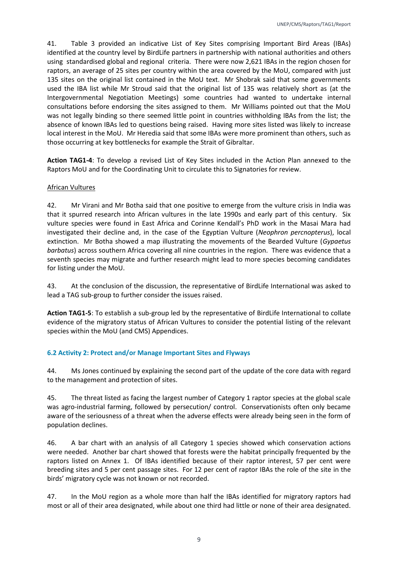41. Table 3 provided an indicative List of Key Sites comprising Important Bird Areas (IBAs) identified at the country level by BirdLife partners in partnership with national authorities and others using standardised global and regional criteria. There were now 2,621 IBAs in the region chosen for raptors, an average of 25 sites per country within the area covered by the MoU, compared with just 135 sites on the original list contained in the MoU text. Mr Shobrak said that some governments used the IBA list while Mr Stroud said that the original list of 135 was relatively short as (at the Intergovernmental Negotiation Meetings) some countries had wanted to undertake internal consultations before endorsing the sites assigned to them. Mr Williams pointed out that the MoU was not legally binding so there seemed little point in countries withholding IBAs from the list; the absence of known IBAs led to questions being raised. Having more sites listed was likely to increase local interest in the MoU. Mr Heredia said that some IBAs were more prominent than others, such as those occurring at key bottlenecks for example the Strait of Gibraltar.

**Action TAG1-4**: To develop a revised List of Key Sites included in the Action Plan annexed to the Raptors MoU and for the Coordinating Unit to circulate this to Signatories for review.

#### African Vultures

42. Mr Virani and Mr Botha said that one positive to emerge from the vulture crisis in India was that it spurred research into African vultures in the late 1990s and early part of this century. Six vulture species were found in East Africa and Corinne Kendall's PhD work in the Masai Mara had investigated their decline and, in the case of the Egyptian Vulture (*Neophron percnopterus*), local extinction. Mr Botha showed a map illustrating the movements of the Bearded Vulture (*Gypaetus barbatus*) across southern Africa covering all nine countries in the region. There was evidence that a seventh species may migrate and further research might lead to more species becoming candidates for listing under the MoU.

43. At the conclusion of the discussion, the representative of BirdLife International was asked to lead a TAG sub-group to further consider the issues raised.

**Action TAG1-5**: To establish a sub-group led by the representative of BirdLife International to collate evidence of the migratory status of African Vultures to consider the potential listing of the relevant species within the MoU (and CMS) Appendices.

#### <span id="page-9-0"></span>**6.2 Activity 2: Protect and/or Manage Important Sites and Flyways**

44. Ms Jones continued by explaining the second part of the update of the core data with regard to the management and protection of sites.

45. The threat listed as facing the largest number of Category 1 raptor species at the global scale was agro-industrial farming, followed by persecution/ control. Conservationists often only became aware of the seriousness of a threat when the adverse effects were already being seen in the form of population declines.

46. A bar chart with an analysis of all Category 1 species showed which conservation actions were needed. Another bar chart showed that forests were the habitat principally frequented by the raptors listed on Annex 1. Of IBAs identified because of their raptor interest, 57 per cent were breeding sites and 5 per cent passage sites. For 12 per cent of raptor IBAs the role of the site in the birds' migratory cycle was not known or not recorded.

47. In the MoU region as a whole more than half the IBAs identified for migratory raptors had most or all of their area designated, while about one third had little or none of their area designated.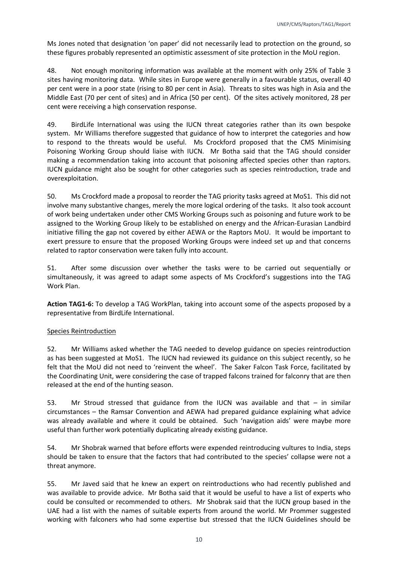Ms Jones noted that designation 'on paper' did not necessarily lead to protection on the ground, so these figures probably represented an optimistic assessment of site protection in the MoU region.

48. Not enough monitoring information was available at the moment with only 25% of Table 3 sites having monitoring data. While sites in Europe were generally in a favourable status, overall 40 per cent were in a poor state (rising to 80 per cent in Asia). Threats to sites was high in Asia and the Middle East (70 per cent of sites) and in Africa (50 per cent). Of the sites actively monitored, 28 per cent were receiving a high conservation response.

49. BirdLife International was using the IUCN threat categories rather than its own bespoke system. Mr Williams therefore suggested that guidance of how to interpret the categories and how to respond to the threats would be useful. Ms Crockford proposed that the CMS Minimising Poisoning Working Group should liaise with IUCN. Mr Botha said that the TAG should consider making a recommendation taking into account that poisoning affected species other than raptors. IUCN guidance might also be sought for other categories such as species reintroduction, trade and overexploitation.

50. Ms Crockford made a proposal to reorder the TAG priority tasks agreed at MoS1. This did not involve many substantive changes, merely the more logical ordering of the tasks. It also took account of work being undertaken under other CMS Working Groups such as poisoning and future work to be assigned to the Working Group likely to be established on energy and the African-Eurasian Landbird initiative filling the gap not covered by either AEWA or the Raptors MoU. It would be important to exert pressure to ensure that the proposed Working Groups were indeed set up and that concerns related to raptor conservation were taken fully into account.

51. After some discussion over whether the tasks were to be carried out sequentially or simultaneously, it was agreed to adapt some aspects of Ms Crockford's suggestions into the TAG Work Plan.

**Action TAG1-6:** To develop a TAG WorkPlan, taking into account some of the aspects proposed by a representative from BirdLife International.

#### Species Reintroduction

52. Mr Williams asked whether the TAG needed to develop guidance on species reintroduction as has been suggested at MoS1. The IUCN had reviewed its guidance on this subject recently, so he felt that the MoU did not need to 'reinvent the wheel'. The Saker Falcon Task Force, facilitated by the Coordinating Unit, were considering the case of trapped falcons trained for falconry that are then released at the end of the hunting season.

53. Mr Stroud stressed that guidance from the IUCN was available and that – in similar circumstances – the Ramsar Convention and AEWA had prepared guidance explaining what advice was already available and where it could be obtained. Such 'navigation aids' were maybe more useful than further work potentially duplicating already existing guidance.

54. Mr Shobrak warned that before efforts were expended reintroducing vultures to India, steps should be taken to ensure that the factors that had contributed to the species' collapse were not a threat anymore.

55. Mr Javed said that he knew an expert on reintroductions who had recently published and was available to provide advice. Mr Botha said that it would be useful to have a list of experts who could be consulted or recommended to others. Mr Shobrak said that the IUCN group based in the UAE had a list with the names of suitable experts from around the world. Mr Prommer suggested working with falconers who had some expertise but stressed that the IUCN Guidelines should be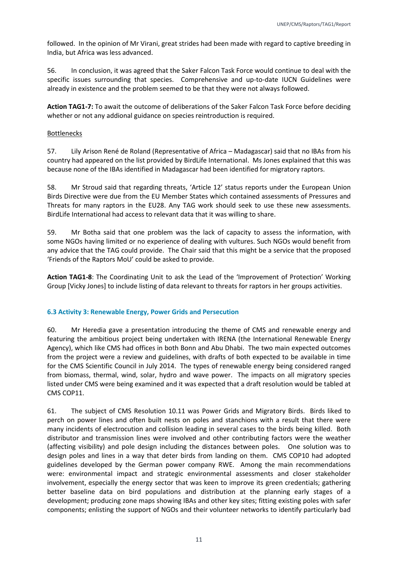followed. In the opinion of Mr Virani, great strides had been made with regard to captive breeding in India, but Africa was less advanced.

56. In conclusion, it was agreed that the Saker Falcon Task Force would continue to deal with the specific issues surrounding that species. Comprehensive and up-to-date IUCN Guidelines were already in existence and the problem seemed to be that they were not always followed.

**Action TAG1-7:** To await the outcome of deliberations of the Saker Falcon Task Force before deciding whether or not any addional guidance on species reintroduction is required.

#### Bottlenecks

57. Lily Arison René de Roland (Representative of Africa – Madagascar) said that no IBAs from his country had appeared on the list provided by BirdLife International. Ms Jones explained that this was because none of the IBAs identified in Madagascar had been identified for migratory raptors.

58. Mr Stroud said that regarding threats, 'Article 12' status reports under the European Union Birds Directive were due from the EU Member States which contained assessments of Pressures and Threats for many raptors in the EU28. Any TAG work should seek to use these new assessments. BirdLife International had access to relevant data that it was willing to share.

59. Mr Botha said that one problem was the lack of capacity to assess the information, with some NGOs having limited or no experience of dealing with vultures. Such NGOs would benefit from any advice that the TAG could provide. The Chair said that this might be a service that the proposed 'Friends of the Raptors MoU' could be asked to provide.

**Action TAG1-8**: The Coordinating Unit to ask the Lead of the 'Improvement of Protection' Working Group [Vicky Jones] to include listing of data relevant to threats for raptors in her groups activities.

#### <span id="page-11-0"></span>**6.3 Activity 3: Renewable Energy, Power Grids and Persecution**

60. Mr Heredia gave a presentation introducing the theme of CMS and renewable energy and featuring the ambitious project being undertaken with IRENA (the International Renewable Energy Agency), which like CMS had offices in both Bonn and Abu Dhabi. The two main expected outcomes from the project were a review and guidelines, with drafts of both expected to be available in time for the CMS Scientific Council in July 2014. The types of renewable energy being considered ranged from biomass, thermal, wind, solar, hydro and wave power. The impacts on all migratory species listed under CMS were being examined and it was expected that a draft resolution would be tabled at CMS COP11.

61. The subject of CMS Resolution 10.11 was Power Grids and Migratory Birds. Birds liked to perch on power lines and often built nests on poles and stanchions with a result that there were many incidents of electrocution and collision leading in several cases to the birds being killed. Both distributor and transmission lines were involved and other contributing factors were the weather (affecting visibility) and pole design including the distances between poles. One solution was to design poles and lines in a way that deter birds from landing on them. CMS COP10 had adopted guidelines developed by the German power company RWE. Among the main recommendations were: environmental impact and strategic environmental assessments and closer stakeholder involvement, especially the energy sector that was keen to improve its green credentials; gathering better baseline data on bird populations and distribution at the planning early stages of a development; producing zone maps showing IBAs and other key sites; fitting existing poles with safer components; enlisting the support of NGOs and their volunteer networks to identify particularly bad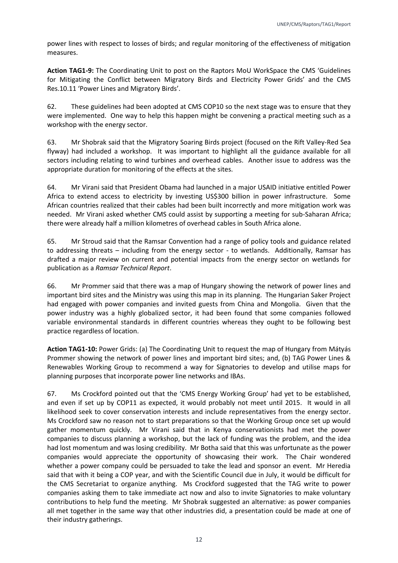power lines with respect to losses of birds; and regular monitoring of the effectiveness of mitigation measures.

**Action TAG1-9:** The Coordinating Unit to post on the Raptors MoU WorkSpace the CMS 'Guidelines for Mitigating the Conflict between Migratory Birds and Electricity Power Grids' and the CMS Res.10.11 'Power Lines and Migratory Birds'.

62. These guidelines had been adopted at CMS COP10 so the next stage was to ensure that they were implemented. One way to help this happen might be convening a practical meeting such as a workshop with the energy sector.

63. Mr Shobrak said that the Migratory Soaring Birds project (focused on the Rift Valley-Red Sea flyway) had included a workshop. It was important to highlight all the guidance available for all sectors including relating to wind turbines and overhead cables. Another issue to address was the appropriate duration for monitoring of the effects at the sites.

64. Mr Virani said that President Obama had launched in a major USAID initiative entitled Power Africa to extend access to electricity by investing US\$300 billion in power infrastructure. Some African countries realized that their cables had been built incorrectly and more mitigation work was needed. Mr Virani asked whether CMS could assist by supporting a meeting for sub-Saharan Africa; there were already half a million kilometres of overhead cables in South Africa alone.

65. Mr Stroud said that the Ramsar Convention had a range of policy tools and guidance related to addressing threats – including from the energy sector - to wetlands. Additionally, Ramsar has drafted a major review on current and potential impacts from the energy sector on wetlands for publication as a *Ramsar Technical Report*.

66. Mr Prommer said that there was a map of Hungary showing the network of power lines and important bird sites and the Ministry was using this map in its planning. The Hungarian Saker Project had engaged with power companies and invited guests from China and Mongolia. Given that the power industry was a highly globalized sector, it had been found that some companies followed variable environmental standards in different countries whereas they ought to be following best practice regardless of location.

**Action TAG1-10:** Power Grids: (a) The Coordinating Unit to request the map of Hungary from Mátyás Prommer showing the network of power lines and important bird sites; and, (b) TAG Power Lines & Renewables Working Group to recommend a way for Signatories to develop and utilise maps for planning purposes that incorporate power line networks and IBAs.

67. Ms Crockford pointed out that the 'CMS Energy Working Group' had yet to be established, and even if set up by COP11 as expected, it would probably not meet until 2015. It would in all likelihood seek to cover conservation interests and include representatives from the energy sector. Ms Crockford saw no reason not to start preparations so that the Working Group once set up would gather momentum quickly. Mr Virani said that in Kenya conservationists had met the power companies to discuss planning a workshop, but the lack of funding was the problem, and the idea had lost momentum and was losing credibility. Mr Botha said that this was unfortunate as the power companies would appreciate the opportunity of showcasing their work. The Chair wondered whether a power company could be persuaded to take the lead and sponsor an event. Mr Heredia said that with it being a COP year, and with the Scientific Council due in July, it would be difficult for the CMS Secretariat to organize anything. Ms Crockford suggested that the TAG write to power companies asking them to take immediate act now and also to invite Signatories to make voluntary contributions to help fund the meeting. Mr Shobrak suggested an alternative: as power companies all met together in the same way that other industries did, a presentation could be made at one of their industry gatherings.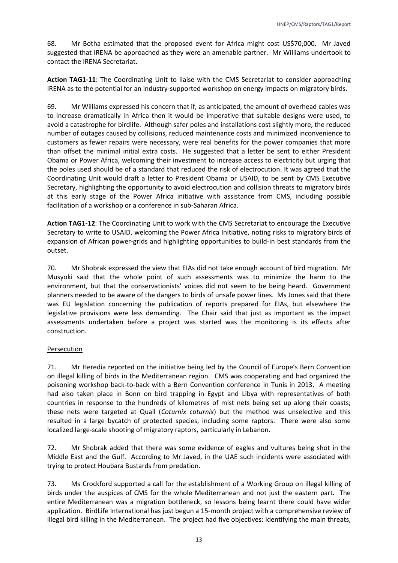68. Mr Botha estimated that the proposed event for Africa might cost US\$70,000. Mr Javed suggested that IRENA be approached as they were an amenable partner. Mr Williams undertook to contact the IRENA Secretariat.

**Action TAG1-11**: The Coordinating Unit to liaise with the CMS Secretariat to consider approaching IRENA as to the potential for an industry-supported workshop on energy impacts on migratory birds.

69. Mr Williams expressed his concern that if, as anticipated, the amount of overhead cables was to increase dramatically in Africa then it would be imperative that suitable designs were used, to avoid a catastrophe for birdlife. Although safer poles and installations cost slightly more, the reduced number of outages caused by collisions, reduced maintenance costs and minimized inconvenience to customers as fewer repairs were necessary, were real benefits for the power companies that more than offset the minimal initial extra costs. He suggested that a letter be sent to either President Obama or Power Africa, welcoming their investment to increase access to electricity but urging that the poles used should be of a standard that reduced the risk of electrocution. It was agreed that the Coordinating Unit would draft a letter to President Obama or USAID, to be sent by CMS Executive Secretary, highlighting the opportunity to avoid electrocution and collision threats to migratory birds at this early stage of the Power Africa initiative with assistance from CMS, including possible facilitation of a workshop or a conference in sub-Saharan Africa.

**Action TAG1-12**: The Coordinating Unit to work with the CMS Secretariat to encourage the Executive Secretary to write to USAID, welcoming the Power Africa Initiative, noting risks to migratory birds of expansion of African power-grids and highlighting opportunities to build-in best standards from the outset.

70. Mr Shobrak expressed the view that EIAs did not take enough account of bird migration. Mr Musyoki said that the whole point of such assessments was to minimize the harm to the environment, but that the conservationists' voices did not seem to be being heard. Government planners needed to be aware of the dangers to birds of unsafe power lines. Ms Jones said that there was EU legislation concerning the publication of reports prepared for EIAs, but elsewhere the legislative provisions were less demanding. The Chair said that just as important as the impact assessments undertaken before a project was started was the monitoring is its effects after construction.

#### Persecution

71. Mr Heredia reported on the initiative being led by the Council of Europe's Bern Convention on illegal killing of birds in the Mediterranean region. CMS was cooperating and had organized the poisoning workshop back-to-back with a Bern Convention conference in Tunis in 2013. A meeting had also taken place in Bonn on bird trapping in Egypt and Libya with representatives of both countries in response to the hundreds of kilometres of mist nets being set up along their coasts; these nets were targeted at Quail (*Coturnix coturnix*) but the method was unselective and this resulted in a large bycatch of protected species, including some raptors. There were also some localized large-scale shooting of migratory raptors, particularly in Lebanon.

72. Mr Shobrak added that there was some evidence of eagles and vultures being shot in the Middle East and the Gulf. According to Mr Javed, in the UAE such incidents were associated with trying to protect Houbara Bustards from predation.

73. Ms Crockford supported a call for the establishment of a Working Group on illegal killing of birds under the auspices of CMS for the whole Mediterranean and not just the eastern part. The entire Mediterranean was a migration bottleneck, so lessons being learnt there could have wider application. BirdLife International has just begun a 15-month project with a comprehensive review of illegal bird killing in the Mediterranean. The project had five objectives: identifying the main threats,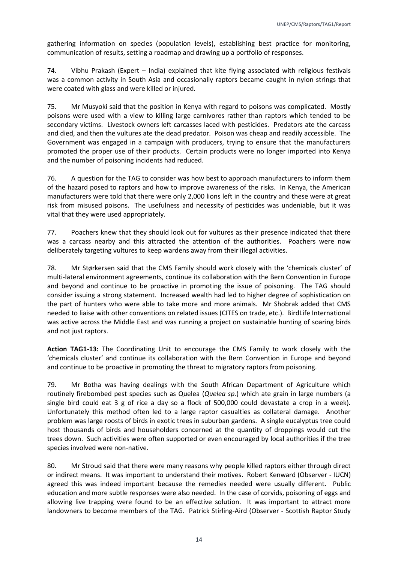gathering information on species (population levels), establishing best practice for monitoring, communication of results, setting a roadmap and drawing up a portfolio of responses.

74. Vibhu Prakash (Expert – India) explained that kite flying associated with religious festivals was a common activity in South Asia and occasionally raptors became caught in nylon strings that were coated with glass and were killed or injured.

75. Mr Musyoki said that the position in Kenya with regard to poisons was complicated. Mostly poisons were used with a view to killing large carnivores rather than raptors which tended to be secondary victims. Livestock owners left carcasses laced with pesticides. Predators ate the carcass and died, and then the vultures ate the dead predator. Poison was cheap and readily accessible. The Government was engaged in a campaign with producers, trying to ensure that the manufacturers promoted the proper use of their products. Certain products were no longer imported into Kenya and the number of poisoning incidents had reduced.

76. A question for the TAG to consider was how best to approach manufacturers to inform them of the hazard posed to raptors and how to improve awareness of the risks. In Kenya, the American manufacturers were told that there were only 2,000 lions left in the country and these were at great risk from misused poisons. The usefulness and necessity of pesticides was undeniable, but it was vital that they were used appropriately.

77. Poachers knew that they should look out for vultures as their presence indicated that there was a carcass nearby and this attracted the attention of the authorities. Poachers were now deliberately targeting vultures to keep wardens away from their illegal activities.

78. Mr Størkersen said that the CMS Family should work closely with the 'chemicals cluster' of multi-lateral environment agreements, continue its collaboration with the Bern Convention in Europe and beyond and continue to be proactive in promoting the issue of poisoning. The TAG should consider issuing a strong statement. Increased wealth had led to higher degree of sophistication on the part of hunters who were able to take more and more animals. Mr Shobrak added that CMS needed to liaise with other conventions on related issues (CITES on trade, etc.). BirdLife International was active across the Middle East and was running a project on sustainable hunting of soaring birds and not just raptors.

**Action TAG1-13:** The Coordinating Unit to encourage the CMS Family to work closely with the 'chemicals cluster' and continue its collaboration with the Bern Convention in Europe and beyond and continue to be proactive in promoting the threat to migratory raptors from poisoning.

79. Mr Botha was having dealings with the South African Department of Agriculture which routinely firebombed pest species such as Quelea (*Quelea sp.*) which ate grain in large numbers (a single bird could eat 3 g of rice a day so a flock of 500,000 could devastate a crop in a week). Unfortunately this method often led to a large raptor casualties as collateral damage. Another problem was large roosts of birds in exotic trees in suburban gardens. A single eucalyptus tree could host thousands of birds and householders concerned at the quantity of droppings would cut the trees down. Such activities were often supported or even encouraged by local authorities if the tree species involved were non-native.

80. Mr Stroud said that there were many reasons why people killed raptors either through direct or indirect means. It was important to understand their motives. Robert Kenward (Observer - IUCN) agreed this was indeed important because the remedies needed were usually different. Public education and more subtle responses were also needed. In the case of corvids, poisoning of eggs and allowing live trapping were found to be an effective solution. It was important to attract more landowners to become members of the TAG. Patrick Stirling-Aird (Observer - Scottish Raptor Study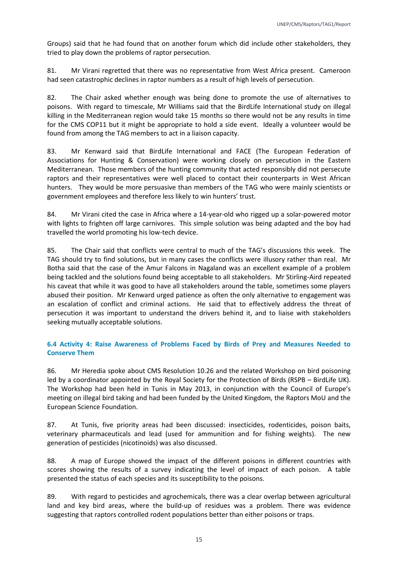Groups) said that he had found that on another forum which did include other stakeholders, they tried to play down the problems of raptor persecution.

81. Mr Virani regretted that there was no representative from West Africa present. Cameroon had seen catastrophic declines in raptor numbers as a result of high levels of persecution.

82. The Chair asked whether enough was being done to promote the use of alternatives to poisons. With regard to timescale, Mr Williams said that the BirdLife International study on illegal killing in the Mediterranean region would take 15 months so there would not be any results in time for the CMS COP11 but it might be appropriate to hold a side event. Ideally a volunteer would be found from among the TAG members to act in a liaison capacity.

83. Mr Kenward said that BirdLife International and FACE (The European Federation of Associations for Hunting & Conservation) were working closely on persecution in the Eastern Mediterranean. Those members of the hunting community that acted responsibly did not persecute raptors and their representatives were well placed to contact their counterparts in West African hunters. They would be more persuasive than members of the TAG who were mainly scientists or government employees and therefore less likely to win hunters' trust.

84. Mr Virani cited the case in Africa where a 14-year-old who rigged up a solar-powered motor with lights to frighten off large carnivores. This simple solution was being adapted and the boy had travelled the world promoting his low-tech device.

85. The Chair said that conflicts were central to much of the TAG's discussions this week. The TAG should try to find solutions, but in many cases the conflicts were illusory rather than real. Mr Botha said that the case of the Amur Falcons in Nagaland was an excellent example of a problem being tackled and the solutions found being acceptable to all stakeholders. Mr Stirling-Aird repeated his caveat that while it was good to have all stakeholders around the table, sometimes some players abused their position. Mr Kenward urged patience as often the only alternative to engagement was an escalation of conflict and criminal actions. He said that to effectively address the threat of persecution it was important to understand the drivers behind it, and to liaise with stakeholders seeking mutually acceptable solutions.

## <span id="page-15-0"></span>**6.4 Activity 4: Raise Awareness of Problems Faced by Birds of Prey and Measures Needed to Conserve Them**

86. Mr Heredia spoke about CMS Resolution 10.26 and the related Workshop on bird poisoning led by a coordinator appointed by the Royal Society for the Protection of Birds (RSPB – BirdLife UK). The Workshop had been held in Tunis in May 2013, in conjunction with the Council of Europe's meeting on illegal bird taking and had been funded by the United Kingdom, the Raptors MoU and the European Science Foundation.

87. At Tunis, five priority areas had been discussed: insecticides, rodenticides, poison baits, veterinary pharmaceuticals and lead (used for ammunition and for fishing weights). The new generation of pesticides (nicotinoids) was also discussed.

88. A map of Europe showed the impact of the different poisons in different countries with scores showing the results of a survey indicating the level of impact of each poison. A table presented the status of each species and its susceptibility to the poisons.

89. With regard to pesticides and agrochemicals, there was a clear overlap between agricultural land and key bird areas, where the build-up of residues was a problem. There was evidence suggesting that raptors controlled rodent populations better than either poisons or traps.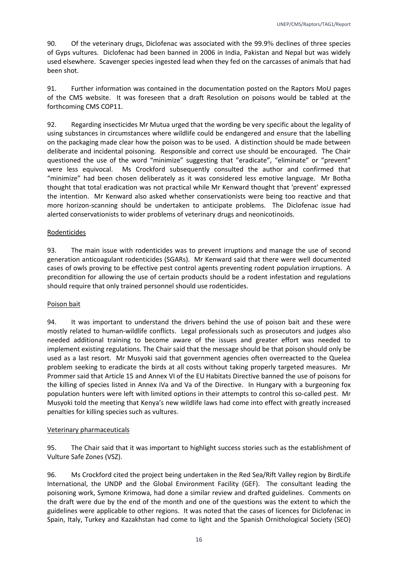90. Of the veterinary drugs, Diclofenac was associated with the 99.9% declines of three species of Gyps vultures. Diclofenac had been banned in 2006 in India, Pakistan and Nepal but was widely used elsewhere. Scavenger species ingested lead when they fed on the carcasses of animals that had been shot.

91. Further information was contained in the documentation posted on the Raptors MoU pages of the CMS website. It was foreseen that a draft Resolution on poisons would be tabled at the forthcoming CMS COP11.

92. Regarding insecticides Mr Mutua urged that the wording be very specific about the legality of using substances in circumstances where wildlife could be endangered and ensure that the labelling on the packaging made clear how the poison was to be used. A distinction should be made between deliberate and incidental poisoning. Responsible and correct use should be encouraged. The Chair questioned the use of the word "minimize" suggesting that "eradicate", "eliminate" or "prevent" were less equivocal. Ms Crockford subsequently consulted the author and confirmed that "minimize" had been chosen deliberately as it was considered less emotive language. Mr Botha thought that total eradication was not practical while Mr Kenward thought that 'prevent' expressed the intention. Mr Kenward also asked whether conservationists were being too reactive and that more horizon-scanning should be undertaken to anticipate problems. The Diclofenac issue had alerted conservationists to wider problems of veterinary drugs and neonicotinoids.

#### Rodenticides

93. The main issue with rodenticides was to prevent irruptions and manage the use of second generation anticoagulant rodenticides (SGARs). Mr Kenward said that there were well documented cases of owls proving to be effective pest control agents preventing rodent population irruptions. A precondition for allowing the use of certain products should be a rodent infestation and regulations should require that only trained personnel should use rodenticides.

#### Poison bait

94. It was important to understand the drivers behind the use of poison bait and these were mostly related to human-wildlife conflicts. Legal professionals such as prosecutors and judges also needed additional training to become aware of the issues and greater effort was needed to implement existing regulations. The Chair said that the message should be that poison should only be used as a last resort. Mr Musyoki said that government agencies often overreacted to the Quelea problem seeking to eradicate the birds at all costs without taking properly targeted measures. Mr Prommer said that Article 15 and Annex VI of the EU Habitats Directive banned the use of poisons for the killing of species listed in Annex IVa and Va of the Directive. In Hungary with a burgeoning fox population hunters were left with limited options in their attempts to control this so-called pest. Mr Musyoki told the meeting that Kenya's new wildlife laws had come into effect with greatly increased penalties for killing species such as vultures.

#### Veterinary pharmaceuticals

95. The Chair said that it was important to highlight success stories such as the establishment of Vulture Safe Zones (VSZ).

96. Ms Crockford cited the project being undertaken in the Red Sea/Rift Valley region by BirdLife International, the UNDP and the Global Environment Facility (GEF). The consultant leading the poisoning work, Symone Krimowa, had done a similar review and drafted guidelines. Comments on the draft were due by the end of the month and one of the questions was the extent to which the guidelines were applicable to other regions. It was noted that the cases of licences for Diclofenac in Spain, Italy, Turkey and Kazakhstan had come to light and the Spanish Ornithological Society (SEO)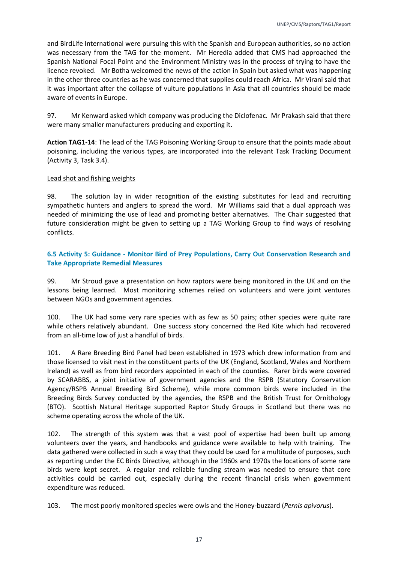and BirdLife International were pursuing this with the Spanish and European authorities, so no action was necessary from the TAG for the moment. Mr Heredia added that CMS had approached the Spanish National Focal Point and the Environment Ministry was in the process of trying to have the licence revoked. Mr Botha welcomed the news of the action in Spain but asked what was happening in the other three countries as he was concerned that supplies could reach Africa. Mr Virani said that it was important after the collapse of vulture populations in Asia that all countries should be made aware of events in Europe.

97. Mr Kenward asked which company was producing the Diclofenac. Mr Prakash said that there were many smaller manufacturers producing and exporting it.

**Action TAG1-14**: The lead of the TAG Poisoning Working Group to ensure that the points made about poisoning, including the various types, are incorporated into the relevant Task Tracking Document (Activity 3, Task 3.4).

#### Lead shot and fishing weights

98. The solution lay in wider recognition of the existing substitutes for lead and recruiting sympathetic hunters and anglers to spread the word. Mr Williams said that a dual approach was needed of minimizing the use of lead and promoting better alternatives. The Chair suggested that future consideration might be given to setting up a TAG Working Group to find ways of resolving conflicts.

### <span id="page-17-0"></span>**6.5 Activity 5: Guidance - Monitor Bird of Prey Populations, Carry Out Conservation Research and Take Appropriate Remedial Measures**

99. Mr Stroud gave a presentation on how raptors were being monitored in the UK and on the lessons being learned. Most monitoring schemes relied on volunteers and were joint ventures between NGOs and government agencies.

100. The UK had some very rare species with as few as 50 pairs; other species were quite rare while others relatively abundant. One success story concerned the Red Kite which had recovered from an all-time low of just a handful of birds.

101. A Rare Breeding Bird Panel had been established in 1973 which drew information from and those licensed to visit nest in the constituent parts of the UK (England, Scotland, Wales and Northern Ireland) as well as from bird recorders appointed in each of the counties. Rarer birds were covered by SCARABBS, a joint initiative of government agencies and the RSPB (Statutory Conservation Agency/RSPB Annual Breeding Bird Scheme), while more common birds were included in the Breeding Birds Survey conducted by the agencies, the RSPB and the British Trust for Ornithology (BTO). Scottish Natural Heritage supported Raptor Study Groups in Scotland but there was no scheme operating across the whole of the UK.

102. The strength of this system was that a vast pool of expertise had been built up among volunteers over the years, and handbooks and guidance were available to help with training. The data gathered were collected in such a way that they could be used for a multitude of purposes, such as reporting under the EC Birds Directive, although in the 1960s and 1970s the locations of some rare birds were kept secret. A regular and reliable funding stream was needed to ensure that core activities could be carried out, especially during the recent financial crisis when government expenditure was reduced.

103. The most poorly monitored species were owls and the Honey-buzzard (*Pernis apivorus*).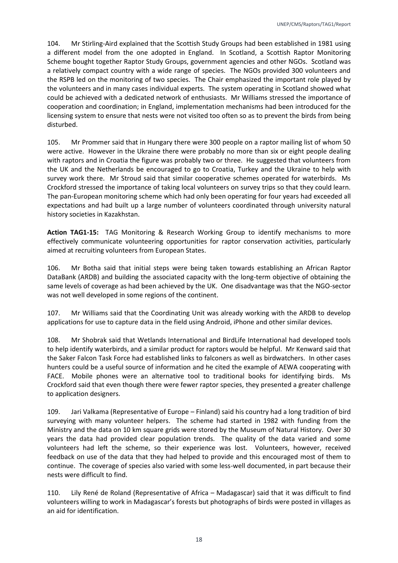104. Mr Stirling-Aird explained that the Scottish Study Groups had been established in 1981 using a different model from the one adopted in England. In Scotland, a Scottish Raptor Monitoring Scheme bought together Raptor Study Groups, government agencies and other NGOs. Scotland was a relatively compact country with a wide range of species. The NGOs provided 300 volunteers and the RSPB led on the monitoring of two species. The Chair emphasized the important role played by the volunteers and in many cases individual experts. The system operating in Scotland showed what could be achieved with a dedicated network of enthusiasts. Mr Williams stressed the importance of cooperation and coordination; in England, implementation mechanisms had been introduced for the licensing system to ensure that nests were not visited too often so as to prevent the birds from being disturbed.

105. Mr Prommer said that in Hungary there were 300 people on a raptor mailing list of whom 50 were active. However in the Ukraine there were probably no more than six or eight people dealing with raptors and in Croatia the figure was probably two or three. He suggested that volunteers from the UK and the Netherlands be encouraged to go to Croatia, Turkey and the Ukraine to help with survey work there. Mr Stroud said that similar cooperative schemes operated for waterbirds. Ms Crockford stressed the importance of taking local volunteers on survey trips so that they could learn. The pan-European monitoring scheme which had only been operating for four years had exceeded all expectations and had built up a large number of volunteers coordinated through university natural history societies in Kazakhstan.

**Action TAG1-15:** TAG Monitoring & Research Working Group to identify mechanisms to more effectively communicate volunteering opportunities for raptor conservation activities, particularly aimed at recruiting volunteers from European States.

106. Mr Botha said that initial steps were being taken towards establishing an African Raptor DataBank (ARDB) and building the associated capacity with the long-term objective of obtaining the same levels of coverage as had been achieved by the UK. One disadvantage was that the NGO-sector was not well developed in some regions of the continent.

107. Mr Williams said that the Coordinating Unit was already working with the ARDB to develop applications for use to capture data in the field using Android, iPhone and other similar devices.

108. Mr Shobrak said that Wetlands International and BirdLife International had developed tools to help identify waterbirds, and a similar product for raptors would be helpful. Mr Kenward said that the Saker Falcon Task Force had established links to falconers as well as birdwatchers. In other cases hunters could be a useful source of information and he cited the example of AEWA cooperating with FACE. Mobile phones were an alternative tool to traditional books for identifying birds. Ms Crockford said that even though there were fewer raptor species, they presented a greater challenge to application designers.

109. Jari Valkama (Representative of Europe – Finland) said his country had a long tradition of bird surveying with many volunteer helpers. The scheme had started in 1982 with funding from the Ministry and the data on 10 km square grids were stored by the Museum of Natural History. Over 30 years the data had provided clear population trends. The quality of the data varied and some volunteers had left the scheme, so their experience was lost. Volunteers, however, received feedback on use of the data that they had helped to provide and this encouraged most of them to continue. The coverage of species also varied with some less-well documented, in part because their nests were difficult to find.

110. Lily René de Roland (Representative of Africa – Madagascar) said that it was difficult to find volunteers willing to work in Madagascar's forests but photographs of birds were posted in villages as an aid for identification.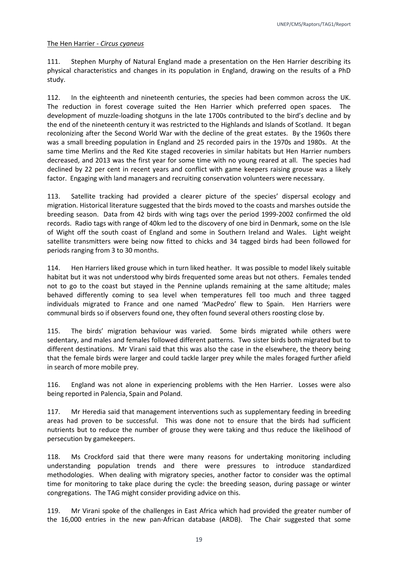#### The Hen Harrier - *Circus cyaneus*

111. Stephen Murphy of Natural England made a presentation on the Hen Harrier describing its physical characteristics and changes in its population in England, drawing on the results of a PhD study.

112. In the eighteenth and nineteenth centuries, the species had been common across the UK. The reduction in forest coverage suited the Hen Harrier which preferred open spaces. The development of muzzle-loading shotguns in the late 1700s contributed to the bird's decline and by the end of the nineteenth century it was restricted to the Highlands and Islands of Scotland. It began recolonizing after the Second World War with the decline of the great estates. By the 1960s there was a small breeding population in England and 25 recorded pairs in the 1970s and 1980s. At the same time Merlins and the Red Kite staged recoveries in similar habitats but Hen Harrier numbers decreased, and 2013 was the first year for some time with no young reared at all. The species had declined by 22 per cent in recent years and conflict with game keepers raising grouse was a likely factor. Engaging with land managers and recruiting conservation volunteers were necessary.

113. Satellite tracking had provided a clearer picture of the species' dispersal ecology and migration. Historical literature suggested that the birds moved to the coasts and marshes outside the breeding season. Data from 42 birds with wing tags over the period 1999-2002 confirmed the old records. Radio tags with range of 40km led to the discovery of one bird in Denmark, some on the Isle of Wight off the south coast of England and some in Southern Ireland and Wales. Light weight satellite transmitters were being now fitted to chicks and 34 tagged birds had been followed for periods ranging from 3 to 30 months.

114. Hen Harriers liked grouse which in turn liked heather. It was possible to model likely suitable habitat but it was not understood why birds frequented some areas but not others. Females tended not to go to the coast but stayed in the Pennine uplands remaining at the same altitude; males behaved differently coming to sea level when temperatures fell too much and three tagged individuals migrated to France and one named 'MacPedro' flew to Spain. Hen Harriers were communal birds so if observers found one, they often found several others roosting close by.

115. The birds' migration behaviour was varied. Some birds migrated while others were sedentary, and males and females followed different patterns. Two sister birds both migrated but to different destinations. Mr Virani said that this was also the case in the elsewhere, the theory being that the female birds were larger and could tackle larger prey while the males foraged further afield in search of more mobile prey.

116. England was not alone in experiencing problems with the Hen Harrier. Losses were also being reported in Palencia, Spain and Poland.

117. Mr Heredia said that management interventions such as supplementary feeding in breeding areas had proven to be successful. This was done not to ensure that the birds had sufficient nutrients but to reduce the number of grouse they were taking and thus reduce the likelihood of persecution by gamekeepers.

118. Ms Crockford said that there were many reasons for undertaking monitoring including understanding population trends and there were pressures to introduce standardized methodologies. When dealing with migratory species, another factor to consider was the optimal time for monitoring to take place during the cycle: the breeding season, during passage or winter congregations. The TAG might consider providing advice on this.

119. Mr Virani spoke of the challenges in East Africa which had provided the greater number of the 16,000 entries in the new pan-African database (ARDB). The Chair suggested that some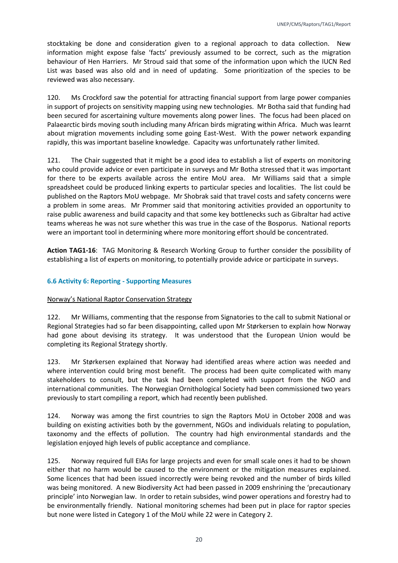stocktaking be done and consideration given to a regional approach to data collection. New information might expose false 'facts' previously assumed to be correct, such as the migration behaviour of Hen Harriers. Mr Stroud said that some of the information upon which the IUCN Red List was based was also old and in need of updating. Some prioritization of the species to be reviewed was also necessary.

120. Ms Crockford saw the potential for attracting financial support from large power companies in support of projects on sensitivity mapping using new technologies. Mr Botha said that funding had been secured for ascertaining vulture movements along power lines. The focus had been placed on Palaearctic birds moving south including many African birds migrating within Africa. Much was learnt about migration movements including some going East-West. With the power network expanding rapidly, this was important baseline knowledge. Capacity was unfortunately rather limited.

121. The Chair suggested that it might be a good idea to establish a list of experts on monitoring who could provide advice or even participate in surveys and Mr Botha stressed that it was important for there to be experts available across the entire MoU area. Mr Williams said that a simple spreadsheet could be produced linking experts to particular species and localities. The list could be published on the Raptors MoU webpage. Mr Shobrak said that travel costs and safety concerns were a problem in some areas. Mr Prommer said that monitoring activities provided an opportunity to raise public awareness and build capacity and that some key bottlenecks such as Gibraltar had active teams whereas he was not sure whether this was true in the case of the Bosporus. National reports were an important tool in determining where more monitoring effort should be concentrated.

**Action TAG1-16**: TAG Monitoring & Research Working Group to further consider the possibility of establishing a list of experts on monitoring, to potentially provide advice or participate in surveys.

#### <span id="page-20-0"></span>**6.6 Activity 6: Reporting - Supporting Measures**

#### Norway's National Raptor Conservation Strategy

122. Mr Williams, commenting that the response from Signatories to the call to submit National or Regional Strategies had so far been disappointing, called upon Mr Størkersen to explain how Norway had gone about devising its strategy. It was understood that the European Union would be completing its Regional Strategy shortly.

123. Mr Størkersen explained that Norway had identified areas where action was needed and where intervention could bring most benefit. The process had been quite complicated with many stakeholders to consult, but the task had been completed with support from the NGO and international communities. The Norwegian Ornithological Society had been commissioned two years previously to start compiling a report, which had recently been published.

124. Norway was among the first countries to sign the Raptors MoU in October 2008 and was building on existing activities both by the government, NGOs and individuals relating to population, taxonomy and the effects of pollution. The country had high environmental standards and the legislation enjoyed high levels of public acceptance and compliance.

125. Norway required full EIAs for large projects and even for small scale ones it had to be shown either that no harm would be caused to the environment or the mitigation measures explained. Some licences that had been issued incorrectly were being revoked and the number of birds killed was being monitored. A new Biodiversity Act had been passed in 2009 enshrining the 'precautionary principle' into Norwegian law. In order to retain subsides, wind power operations and forestry had to be environmentally friendly. National monitoring schemes had been put in place for raptor species but none were listed in Category 1 of the MoU while 22 were in Category 2.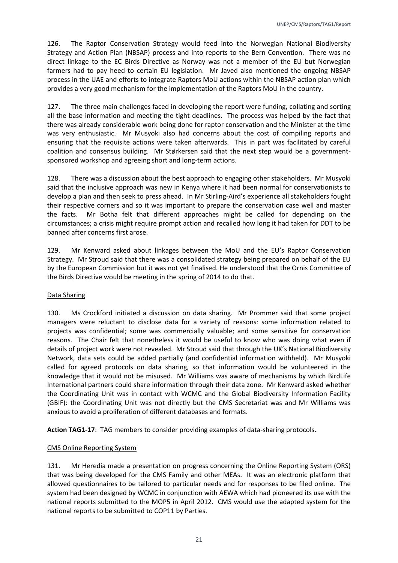126. The Raptor Conservation Strategy would feed into the Norwegian National Biodiversity Strategy and Action Plan (NBSAP) process and into reports to the Bern Convention. There was no direct linkage to the EC Birds Directive as Norway was not a member of the EU but Norwegian farmers had to pay heed to certain EU legislation. Mr Javed also mentioned the ongoing NBSAP process in the UAE and efforts to integrate Raptors MoU actions within the NBSAP action plan which provides a very good mechanism for the implementation of the Raptors MoU in the country.

127. The three main challenges faced in developing the report were funding, collating and sorting all the base information and meeting the tight deadlines. The process was helped by the fact that there was already considerable work being done for raptor conservation and the Minister at the time was very enthusiastic. Mr Musyoki also had concerns about the cost of compiling reports and ensuring that the requisite actions were taken afterwards. This in part was facilitated by careful coalition and consensus building. Mr Størkersen said that the next step would be a governmentsponsored workshop and agreeing short and long-term actions.

128. There was a discussion about the best approach to engaging other stakeholders. Mr Musyoki said that the inclusive approach was new in Kenya where it had been normal for conservationists to develop a plan and then seek to press ahead. In Mr Stirling-Aird's experience all stakeholders fought their respective corners and so it was important to prepare the conservation case well and master the facts. Mr Botha felt that different approaches might be called for depending on the circumstances; a crisis might require prompt action and recalled how long it had taken for DDT to be banned after concerns first arose.

129. Mr Kenward asked about linkages between the MoU and the EU's Raptor Conservation Strategy. Mr Stroud said that there was a consolidated strategy being prepared on behalf of the EU by the European Commission but it was not yet finalised. He understood that the Ornis Committee of the Birds Directive would be meeting in the spring of 2014 to do that.

#### Data Sharing

130. Ms Crockford initiated a discussion on data sharing. Mr Prommer said that some project managers were reluctant to disclose data for a variety of reasons: some information related to projects was confidential; some was commercially valuable; and some sensitive for conservation reasons. The Chair felt that nonetheless it would be useful to know who was doing what even if details of project work were not revealed. Mr Stroud said that through the UK's National Biodiversity Network, data sets could be added partially (and confidential information withheld). Mr Musyoki called for agreed protocols on data sharing, so that information would be volunteered in the knowledge that it would not be misused. Mr Williams was aware of mechanisms by which BirdLife International partners could share information through their data zone. Mr Kenward asked whether the Coordinating Unit was in contact with WCMC and the Global Biodiversity Information Facility (GBIF): the Coordinating Unit was not directly but the CMS Secretariat was and Mr Williams was anxious to avoid a proliferation of different databases and formats.

**Action TAG1-17**: TAG members to consider providing examples of data-sharing protocols.

#### CMS Online Reporting System

131. Mr Heredia made a presentation on progress concerning the Online Reporting System (ORS) that was being developed for the CMS Family and other MEAs. It was an electronic platform that allowed questionnaires to be tailored to particular needs and for responses to be filed online. The system had been designed by WCMC in conjunction with AEWA which had pioneered its use with the national reports submitted to the MOP5 in April 2012. CMS would use the adapted system for the national reports to be submitted to COP11 by Parties.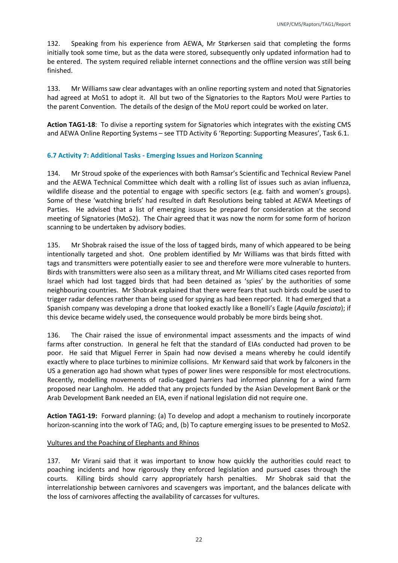132. Speaking from his experience from AEWA, Mr Størkersen said that completing the forms initially took some time, but as the data were stored, subsequently only updated information had to be entered. The system required reliable internet connections and the offline version was still being finished.

133. Mr Williams saw clear advantages with an online reporting system and noted that Signatories had agreed at MoS1 to adopt it. All but two of the Signatories to the Raptors MoU were Parties to the parent Convention. The details of the design of the MoU report could be worked on later.

**Action TAG1-18**: To divise a reporting system for Signatories which integrates with the existing CMS and AEWA Online Reporting Systems – see TTD Activity 6 'Reporting: Supporting Measures', Task 6.1.

#### <span id="page-22-0"></span>**6.7 Activity 7: Additional Tasks - Emerging Issues and Horizon Scanning**

134. Mr Stroud spoke of the experiences with both Ramsar's Scientific and Technical Review Panel and the AEWA Technical Committee which dealt with a rolling list of issues such as avian influenza, wildlife disease and the potential to engage with specific sectors (e.g. faith and women's groups). Some of these 'watching briefs' had resulted in daft Resolutions being tabled at AEWA Meetings of Parties. He advised that a list of emerging issues be prepared for consideration at the second meeting of Signatories (MoS2). The Chair agreed that it was now the norm for some form of horizon scanning to be undertaken by advisory bodies.

135. Mr Shobrak raised the issue of the loss of tagged birds, many of which appeared to be being intentionally targeted and shot. One problem identified by Mr Williams was that birds fitted with tags and transmitters were potentially easier to see and therefore were more vulnerable to hunters. Birds with transmitters were also seen as a military threat, and Mr Williams cited cases reported from Israel which had lost tagged birds that had been detained as 'spies' by the authorities of some neighbouring countries. Mr Shobrak explained that there were fears that such birds could be used to trigger radar defences rather than being used for spying as had been reported. It had emerged that a Spanish company was developing a drone that looked exactly like a Bonelli's Eagle (*Aquila fasciata*); if this device became widely used, the consequence would probably be more birds being shot.

136. The Chair raised the issue of environmental impact assessments and the impacts of wind farms after construction. In general he felt that the standard of EIAs conducted had proven to be poor. He said that Miguel Ferrer in Spain had now devised a means whereby he could identify exactly where to place turbines to minimize collisions. Mr Kenward said that work by falconers in the US a generation ago had shown what types of power lines were responsible for most electrocutions. Recently, modelling movements of radio-tagged harriers had informed planning for a wind farm proposed near Langholm. He added that any projects funded by the Asian Development Bank or the Arab Development Bank needed an EIA, even if national legislation did not require one.

**Action TAG1-19:** Forward planning: (a) To develop and adopt a mechanism to routinely incorporate horizon-scanning into the work of TAG; and, (b) To capture emerging issues to be presented to MoS2.

#### Vultures and the Poaching of Elephants and Rhinos

137. Mr Virani said that it was important to know how quickly the authorities could react to poaching incidents and how rigorously they enforced legislation and pursued cases through the courts. Killing birds should carry appropriately harsh penalties. Mr Shobrak said that the interrelationship between carnivores and scavengers was important, and the balances delicate with the loss of carnivores affecting the availability of carcasses for vultures.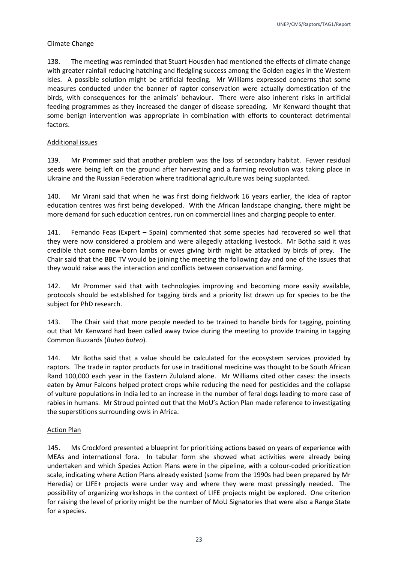#### Climate Change

138. The meeting was reminded that Stuart Housden had mentioned the effects of climate change with greater rainfall reducing hatching and fledgling success among the Golden eagles in the Western Isles. A possible solution might be artificial feeding. Mr Williams expressed concerns that some measures conducted under the banner of raptor conservation were actually domestication of the birds, with consequences for the animals' behaviour. There were also inherent risks in artificial feeding programmes as they increased the danger of disease spreading. Mr Kenward thought that some benign intervention was appropriate in combination with efforts to counteract detrimental factors.

#### Additional issues

139. Mr Prommer said that another problem was the loss of secondary habitat. Fewer residual seeds were being left on the ground after harvesting and a farming revolution was taking place in Ukraine and the Russian Federation where traditional agriculture was being supplanted.

140. Mr Virani said that when he was first doing fieldwork 16 years earlier, the idea of raptor education centres was first being developed. With the African landscape changing, there might be more demand for such education centres, run on commercial lines and charging people to enter.

141. Fernando Feas (Expert – Spain) commented that some species had recovered so well that they were now considered a problem and were allegedly attacking livestock. Mr Botha said it was credible that some new-born lambs or ewes giving birth might be attacked by birds of prey. The Chair said that the BBC TV would be joining the meeting the following day and one of the issues that they would raise was the interaction and conflicts between conservation and farming.

142. Mr Prommer said that with technologies improving and becoming more easily available, protocols should be established for tagging birds and a priority list drawn up for species to be the subject for PhD research.

143. The Chair said that more people needed to be trained to handle birds for tagging, pointing out that Mr Kenward had been called away twice during the meeting to provide training in tagging Common Buzzards (*Buteo buteo*).

144. Mr Botha said that a value should be calculated for the ecosystem services provided by raptors. The trade in raptor products for use in traditional medicine was thought to be South African Rand 100,000 each year in the Eastern Zululand alone. Mr Williams cited other cases: the insects eaten by Amur Falcons helped protect crops while reducing the need for pesticides and the collapse of vulture populations in India led to an increase in the number of feral dogs leading to more case of rabies in humans. Mr Stroud pointed out that the MoU's Action Plan made reference to investigating the superstitions surrounding owls in Africa.

#### Action Plan

145. Ms Crockford presented a blueprint for prioritizing actions based on years of experience with MEAs and international fora. In tabular form she showed what activities were already being undertaken and which Species Action Plans were in the pipeline, with a colour-coded prioritization scale, indicating where Action Plans already existed (some from the 1990s had been prepared by Mr Heredia) or LIFE+ projects were under way and where they were most pressingly needed. The possibility of organizing workshops in the context of LIFE projects might be explored. One criterion for raising the level of priority might be the number of MoU Signatories that were also a Range State for a species.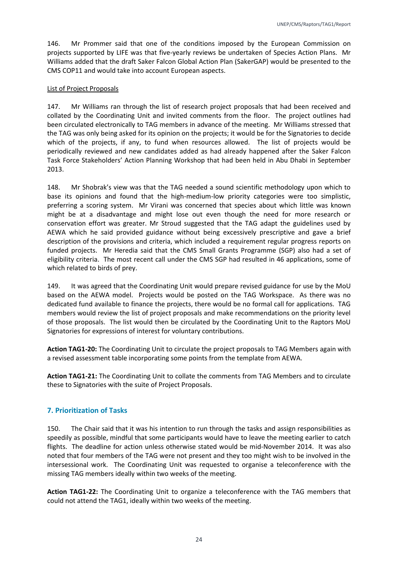146. Mr Prommer said that one of the conditions imposed by the European Commission on projects supported by LIFE was that five-yearly reviews be undertaken of Species Action Plans. Mr Williams added that the draft Saker Falcon Global Action Plan (SakerGAP) would be presented to the CMS COP11 and would take into account European aspects.

#### List of Project Proposals

147. Mr Williams ran through the list of research project proposals that had been received and collated by the Coordinating Unit and invited comments from the floor. The project outlines had been circulated electronically to TAG members in advance of the meeting. Mr Williams stressed that the TAG was only being asked for its opinion on the projects; it would be for the Signatories to decide which of the projects, if any, to fund when resources allowed. The list of projects would be periodically reviewed and new candidates added as had already happened after the Saker Falcon Task Force Stakeholders' Action Planning Workshop that had been held in Abu Dhabi in September 2013.

148. Mr Shobrak's view was that the TAG needed a sound scientific methodology upon which to base its opinions and found that the high-medium-low priority categories were too simplistic, preferring a scoring system. Mr Virani was concerned that species about which little was known might be at a disadvantage and might lose out even though the need for more research or conservation effort was greater. Mr Stroud suggested that the TAG adapt the guidelines used by AEWA which he said provided guidance without being excessively prescriptive and gave a brief description of the provisions and criteria, which included a requirement regular progress reports on funded projects. Mr Heredia said that the CMS Small Grants Programme (SGP) also had a set of eligibility criteria. The most recent call under the CMS SGP had resulted in 46 applications, some of which related to birds of prey.

149. It was agreed that the Coordinating Unit would prepare revised guidance for use by the MoU based on the AEWA model. Projects would be posted on the TAG Workspace. As there was no dedicated fund available to finance the projects, there would be no formal call for applications. TAG members would review the list of project proposals and make recommendations on the priority level of those proposals. The list would then be circulated by the Coordinating Unit to the Raptors MoU Signatories for expressions of interest for voluntary contributions.

**Action TAG1-20:** The Coordinating Unit to circulate the project proposals to TAG Members again with a revised assessment table incorporating some points from the template from AEWA.

**Action TAG1-21:** The Coordinating Unit to collate the comments from TAG Members and to circulate these to Signatories with the suite of Project Proposals.

## <span id="page-24-0"></span>**7. Prioritization of Tasks**

150. The Chair said that it was his intention to run through the tasks and assign responsibilities as speedily as possible, mindful that some participants would have to leave the meeting earlier to catch flights. The deadline for action unless otherwise stated would be mid-November 2014. It was also noted that four members of the TAG were not present and they too might wish to be involved in the intersessional work. The Coordinating Unit was requested to organise a teleconference with the missing TAG members ideally within two weeks of the meeting.

**Action TAG1-22:** The Coordinating Unit to organize a teleconference with the TAG members that could not attend the TAG1, ideally within two weeks of the meeting.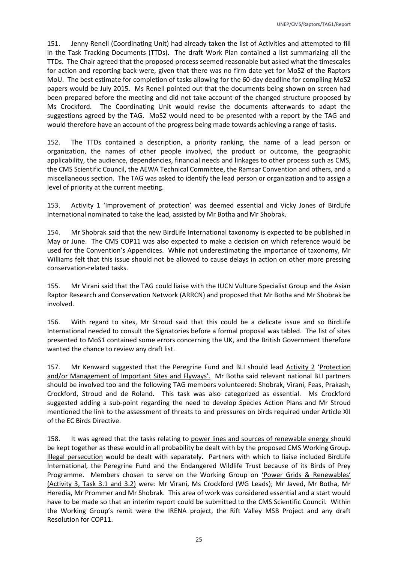151. Jenny Renell (Coordinating Unit) had already taken the list of Activities and attempted to fill in the Task Tracking Documents (TTDs). The draft Work Plan contained a list summarizing all the TTDs. The Chair agreed that the proposed process seemed reasonable but asked what the timescales for action and reporting back were, given that there was no firm date yet for MoS2 of the Raptors MoU. The best estimate for completion of tasks allowing for the 60-day deadline for compiling MoS2 papers would be July 2015. Ms Renell pointed out that the documents being shown on screen had been prepared before the meeting and did not take account of the changed structure proposed by Ms Crockford. The Coordinating Unit would revise the documents afterwards to adapt the suggestions agreed by the TAG. MoS2 would need to be presented with a report by the TAG and would therefore have an account of the progress being made towards achieving a range of tasks.

152. The TTDs contained a description, a priority ranking, the name of a lead person or organization, the names of other people involved, the product or outcome, the geographic applicability, the audience, dependencies, financial needs and linkages to other process such as CMS, the CMS Scientific Council, the AEWA Technical Committee, the Ramsar Convention and others, and a miscellaneous section. The TAG was asked to identify the lead person or organization and to assign a level of priority at the current meeting.

153. Activity 1 'Improvement of protection' was deemed essential and Vicky Jones of BirdLife International nominated to take the lead, assisted by Mr Botha and Mr Shobrak.

154. Mr Shobrak said that the new BirdLife International taxonomy is expected to be published in May or June. The CMS COP11 was also expected to make a decision on which reference would be used for the Convention's Appendices. While not underestimating the importance of taxonomy, Mr Williams felt that this issue should not be allowed to cause delays in action on other more pressing conservation-related tasks.

155. Mr Virani said that the TAG could liaise with the IUCN Vulture Specialist Group and the Asian Raptor Research and Conservation Network (ARRCN) and proposed that Mr Botha and Mr Shobrak be involved.

156. With regard to sites, Mr Stroud said that this could be a delicate issue and so BirdLife International needed to consult the Signatories before a formal proposal was tabled. The list of sites presented to MoS1 contained some errors concerning the UK, and the British Government therefore wanted the chance to review any draft list.

157. Mr Kenward suggested that the Peregrine Fund and BLI should lead Activity 2 'Protection and/or Management of Important Sites and Flyways'. Mr Botha said relevant national BLI partners should be involved too and the following TAG members volunteered: Shobrak, Virani, Feas, Prakash, Crockford, Stroud and de Roland. This task was also categorized as essential. Ms Crockford suggested adding a sub-point regarding the need to develop Species Action Plans and Mr Stroud mentioned the link to the assessment of threats to and pressures on birds required under Article XII of the EC Birds Directive.

158. It was agreed that the tasks relating to power lines and sources of renewable energy should be kept together as these would in all probability be dealt with by the proposed CMS Working Group. Illegal persecution would be dealt with separately. Partners with which to liaise included BirdLife International, the Peregrine Fund and the Endangered Wildlife Trust because of its Birds of Prey Programme. Members chosen to serve on the Working Group on 'Power Grids & Renewables' (Activity 3, Task 3.1 and 3.2) were: Mr Virani, Ms Crockford (WG Leads); Mr Javed, Mr Botha, Mr Heredia, Mr Prommer and Mr Shobrak. This area of work was considered essential and a start would have to be made so that an interim report could be submitted to the CMS Scientific Council. Within the Working Group's remit were the IRENA project, the Rift Valley MSB Project and any draft Resolution for COP11.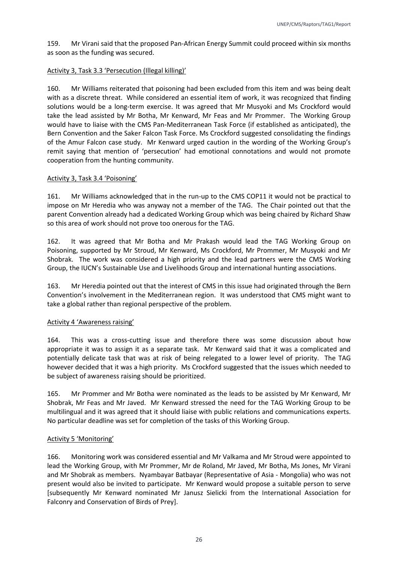159. Mr Virani said that the proposed Pan-African Energy Summit could proceed within six months as soon as the funding was secured.

#### Activity 3, Task 3.3 'Persecution (Illegal killing)'

160. Mr Williams reiterated that poisoning had been excluded from this item and was being dealt with as a discrete threat. While considered an essential item of work, it was recognized that finding solutions would be a long-term exercise. It was agreed that Mr Musyoki and Ms Crockford would take the lead assisted by Mr Botha, Mr Kenward, Mr Feas and Mr Prommer. The Working Group would have to liaise with the CMS Pan-Mediterranean Task Force (if established as anticipated), the Bern Convention and the Saker Falcon Task Force. Ms Crockford suggested consolidating the findings of the Amur Falcon case study. Mr Kenward urged caution in the wording of the Working Group's remit saying that mention of 'persecution' had emotional connotations and would not promote cooperation from the hunting community.

#### Activity 3, Task 3.4 'Poisoning'

161. Mr Williams acknowledged that in the run-up to the CMS COP11 it would not be practical to impose on Mr Heredia who was anyway not a member of the TAG. The Chair pointed out that the parent Convention already had a dedicated Working Group which was being chaired by Richard Shaw so this area of work should not prove too onerous for the TAG.

162. It was agreed that Mr Botha and Mr Prakash would lead the TAG Working Group on Poisoning, supported by Mr Stroud, Mr Kenward, Ms Crockford, Mr Prommer, Mr Musyoki and Mr Shobrak. The work was considered a high priority and the lead partners were the CMS Working Group, the IUCN's Sustainable Use and Livelihoods Group and international hunting associations.

163. Mr Heredia pointed out that the interest of CMS in this issue had originated through the Bern Convention's involvement in the Mediterranean region. It was understood that CMS might want to take a global rather than regional perspective of the problem.

#### Activity 4 'Awareness raising'

164. This was a cross-cutting issue and therefore there was some discussion about how appropriate it was to assign it as a separate task. Mr Kenward said that it was a complicated and potentially delicate task that was at risk of being relegated to a lower level of priority. The TAG however decided that it was a high priority. Ms Crockford suggested that the issues which needed to be subject of awareness raising should be prioritized.

165. Mr Prommer and Mr Botha were nominated as the leads to be assisted by Mr Kenward, Mr Shobrak, Mr Feas and Mr Javed. Mr Kenward stressed the need for the TAG Working Group to be multilingual and it was agreed that it should liaise with public relations and communications experts. No particular deadline was set for completion of the tasks of this Working Group.

#### Activity 5 'Monitoring'

166. Monitoring work was considered essential and Mr Valkama and Mr Stroud were appointed to lead the Working Group, with Mr Prommer, Mr de Roland, Mr Javed, Mr Botha, Ms Jones, Mr Virani and Mr Shobrak as members. Nyambayar Batbayar (Representative of Asia - Mongolia) who was not present would also be invited to participate. Mr Kenward would propose a suitable person to serve [subsequently Mr Kenward nominated Mr Janusz Sielicki from the International Association for Falconry and Conservation of Birds of Prey].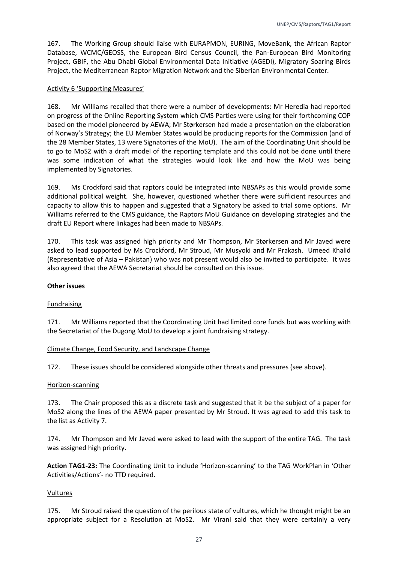167. The Working Group should liaise with EURAPMON, EURING, MoveBank, the African Raptor Database, WCMC/GEOSS, the European Bird Census Council, the Pan-European Bird Monitoring Project, GBIF, the Abu Dhabi Global Environmental Data Initiative (AGEDI), Migratory Soaring Birds Project, the Mediterranean Raptor Migration Network and the Siberian Environmental Center.

#### Activity 6 'Supporting Measures'

168. Mr Williams recalled that there were a number of developments: Mr Heredia had reported on progress of the Online Reporting System which CMS Parties were using for their forthcoming COP based on the model pioneered by AEWA; Mr Størkersen had made a presentation on the elaboration of Norway's Strategy; the EU Member States would be producing reports for the Commission (and of the 28 Member States, 13 were Signatories of the MoU). The aim of the Coordinating Unit should be to go to MoS2 with a draft model of the reporting template and this could not be done until there was some indication of what the strategies would look like and how the MoU was being implemented by Signatories.

169. Ms Crockford said that raptors could be integrated into NBSAPs as this would provide some additional political weight. She, however, questioned whether there were sufficient resources and capacity to allow this to happen and suggested that a Signatory be asked to trial some options. Mr Williams referred to the CMS guidance, the Raptors MoU Guidance on developing strategies and the draft EU Report where linkages had been made to NBSAPs.

170. This task was assigned high priority and Mr Thompson, Mr Størkersen and Mr Javed were asked to lead supported by Ms Crockford, Mr Stroud, Mr Musyoki and Mr Prakash. Umeed Khalid (Representative of Asia – Pakistan) who was not present would also be invited to participate. It was also agreed that the AEWA Secretariat should be consulted on this issue.

#### **Other issues**

#### Fundraising

171. Mr Williams reported that the Coordinating Unit had limited core funds but was working with the Secretariat of the Dugong MoU to develop a joint fundraising strategy.

#### Climate Change, Food Security, and Landscape Change

172. These issues should be considered alongside other threats and pressures (see above).

#### Horizon-scanning

173. The Chair proposed this as a discrete task and suggested that it be the subject of a paper for MoS2 along the lines of the AEWA paper presented by Mr Stroud. It was agreed to add this task to the list as Activity 7.

174. Mr Thompson and Mr Javed were asked to lead with the support of the entire TAG. The task was assigned high priority.

**Action TAG1-23:** The Coordinating Unit to include 'Horizon-scanning' to the TAG WorkPlan in 'Other Activities/Actions'- no TTD required.

#### Vultures

175. Mr Stroud raised the question of the perilous state of vultures, which he thought might be an appropriate subject for a Resolution at MoS2. Mr Virani said that they were certainly a very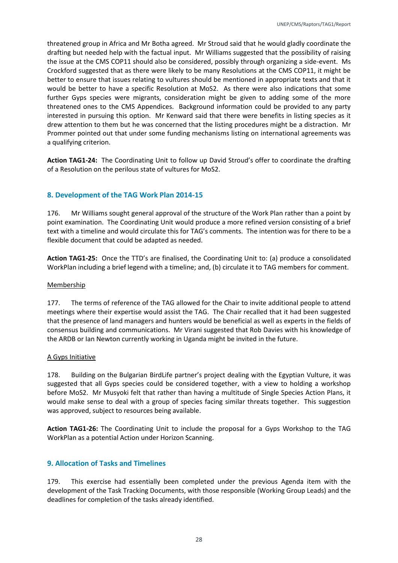threatened group in Africa and Mr Botha agreed. Mr Stroud said that he would gladly coordinate the drafting but needed help with the factual input. Mr Williams suggested that the possibility of raising the issue at the CMS COP11 should also be considered, possibly through organizing a side-event. Ms Crockford suggested that as there were likely to be many Resolutions at the CMS COP11, it might be better to ensure that issues relating to vultures should be mentioned in appropriate texts and that it would be better to have a specific Resolution at MoS2. As there were also indications that some further Gyps species were migrants, consideration might be given to adding some of the more threatened ones to the CMS Appendices. Background information could be provided to any party interested in pursuing this option. Mr Kenward said that there were benefits in listing species as it drew attention to them but he was concerned that the listing procedures might be a distraction. Mr Prommer pointed out that under some funding mechanisms listing on international agreements was a qualifying criterion.

**Action TAG1-24:** The Coordinating Unit to follow up David Stroud's offer to coordinate the drafting of a Resolution on the perilous state of vultures for MoS2.

## <span id="page-28-0"></span>**8. Development of the TAG Work Plan 2014-15**

176. Mr Williams sought general approval of the structure of the Work Plan rather than a point by point examination. The Coordinating Unit would produce a more refined version consisting of a brief text with a timeline and would circulate this for TAG's comments. The intention was for there to be a flexible document that could be adapted as needed.

**Action TAG1-25:** Once the TTD's are finalised, the Coordinating Unit to: (a) produce a consolidated WorkPlan including a brief legend with a timeline; and, (b) circulate it to TAG members for comment.

#### Membership

177. The terms of reference of the TAG allowed for the Chair to invite additional people to attend meetings where their expertise would assist the TAG. The Chair recalled that it had been suggested that the presence of land managers and hunters would be beneficial as well as experts in the fields of consensus building and communications. Mr Virani suggested that Rob Davies with his knowledge of the ARDB or Ian Newton currently working in Uganda might be invited in the future.

#### A Gyps Initiative

178. Building on the Bulgarian BirdLife partner's project dealing with the Egyptian Vulture, it was suggested that all Gyps species could be considered together, with a view to holding a workshop before MoS2. Mr Musyoki felt that rather than having a multitude of Single Species Action Plans, it would make sense to deal with a group of species facing similar threats together. This suggestion was approved, subject to resources being available.

**Action TAG1-26:** The Coordinating Unit to include the proposal for a Gyps Workshop to the TAG WorkPlan as a potential Action under Horizon Scanning.

#### <span id="page-28-1"></span>**9. Allocation of Tasks and Timelines**

179. This exercise had essentially been completed under the previous Agenda item with the development of the Task Tracking Documents, with those responsible (Working Group Leads) and the deadlines for completion of the tasks already identified.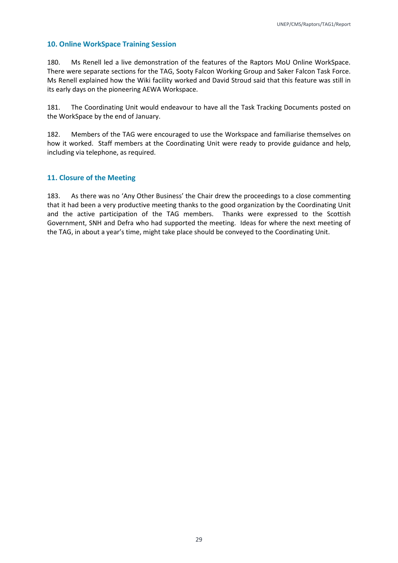## <span id="page-29-0"></span>**10. Online WorkSpace Training Session**

180. Ms Renell led a live demonstration of the features of the Raptors MoU Online WorkSpace. There were separate sections for the TAG, Sooty Falcon Working Group and Saker Falcon Task Force. Ms Renell explained how the Wiki facility worked and David Stroud said that this feature was still in its early days on the pioneering AEWA Workspace.

181. The Coordinating Unit would endeavour to have all the Task Tracking Documents posted on the WorkSpace by the end of January.

182. Members of the TAG were encouraged to use the Workspace and familiarise themselves on how it worked. Staff members at the Coordinating Unit were ready to provide guidance and help, including via telephone, as required.

## <span id="page-29-1"></span>**11. Closure of the Meeting**

183. As there was no 'Any Other Business' the Chair drew the proceedings to a close commenting that it had been a very productive meeting thanks to the good organization by the Coordinating Unit and the active participation of the TAG members. Thanks were expressed to the Scottish Government, SNH and Defra who had supported the meeting. Ideas for where the next meeting of the TAG, in about a year's time, might take place should be conveyed to the Coordinating Unit.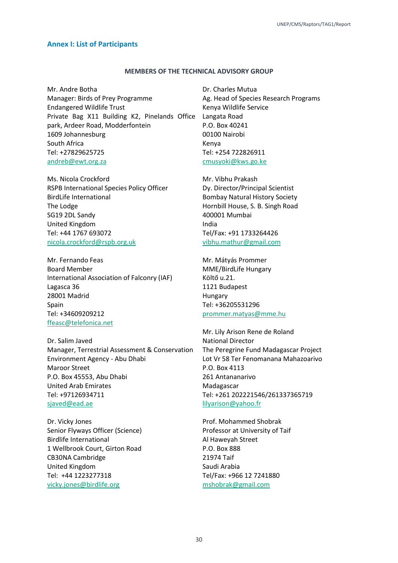#### <span id="page-30-0"></span>**Annex I: List of Participants**

#### **MEMBERS OF THE TECHNICAL ADVISORY GROUP**

Mr. Andre Botha Manager: Birds of Prey Programme Endangered Wildlife Trust Private Bag X11 Building K2, Pinelands Office park, Ardeer Road, Modderfontein 1609 Johannesburg South Africa Tel: +27829625725 [andreb@ewt.org.za](mailto:andreb@ewt.org.za)

Ms. Nicola Crockford RSPB International Species Policy Officer BirdLife International The Lodge SG19 2DL Sandy United Kingdom Tel: +44 1767 693072 [nicola.crockford@rspb.org.uk](mailto:nicola.crockford@rspb.org.uk)

Mr. Fernando Feas Board Member International Association of Falconry (IAF) Lagasca 36 28001 Madrid Spain Tel: +34609209212 [ffeasc@telefonica.net](mailto:ffeasc@telefonica.net)

Dr. Salim Javed Manager, Terrestrial Assessment & Conservation Environment Agency - Abu Dhabi Maroor Street P.O. Box 45553, Abu Dhabi United Arab Emirates Tel: +97126934711 [sjaved@ead.ae](mailto:sjaved@ead.ae)

Dr. Vicky Jones Senior Flyways Officer (Science) Birdlife International 1 Wellbrook Court, Girton Road CB30NA Cambridge United Kingdom Tel: +44 1223277318 [vicky.jones@birdlife.org](mailto:vicky.jones@birdlife.org)

Dr. Charles Mutua Ag. Head of Species Research Programs Kenya Wildlife Service Langata Road P.O. Box 40241 00100 Nairobi Kenya Tel: +254 722826911 [cmusyoki@kws.go.ke](mailto:cmusyoki@kws.go.ke)

Mr. Vibhu Prakash Dy. Director/Principal Scientist Bombay Natural History Society Hornbill House, S. B. Singh Road 400001 Mumbai India Tel/Fax: +91 1733264426 [vibhu.mathur@gmail.com](mailto:vibhu.mathur@gmail.com)

Mr. Mátyás Prommer MME/BirdLife Hungary Költő u.21. 1121 Budapest Hungary Tel: +36205531296 [prommer.matyas@mme.hu](mailto:prommer.matyas@mme.hu)

Mr. Lily Arison Rene de Roland National Director The Peregrine Fund Madagascar Project Lot Vr 58 Ter Fenomanana Mahazoarivo P.O. Box 4113 261 Antananarivo Madagascar Tel: +261 202221546/261337365719 [lilyarison@yahoo.fr](mailto:lilyarison@yahoo.fr)

Prof. Mohammed Shobrak Professor at University of Taif Al Haweyah Street P.O. Box 888 21974 Taif Saudi Arabia Tel/Fax: +966 12 7241880 [mshobrak@gmail.com](mailto:mshobrak@gmail.com)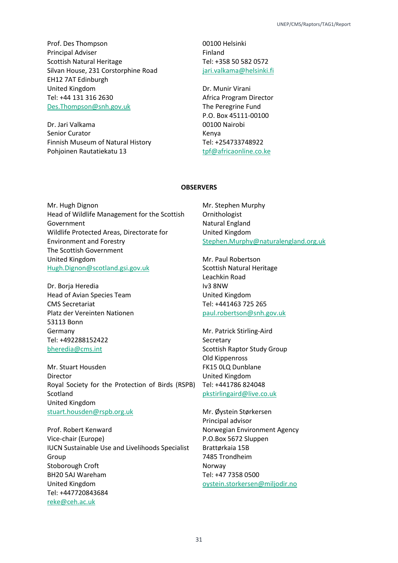Prof. Des Thompson Principal Adviser Scottish Natural Heritage Silvan House, 231 Corstorphine Road EH12 7AT Edinburgh United Kingdom Tel: +44 131 316 2630 [Des.Thompson@snh.gov.uk](mailto:Des.Thompson@snh.gov.uk)

Dr. Jari Valkama Senior Curator Finnish Museum of Natural History Pohjoinen Rautatiekatu 13

00100 Helsinki Finland Tel: +358 50 582 0572 [jari.valkama@helsinki.fi](mailto:jari.valkama@helsinki.fi)

Dr. Munir Virani Africa Program Director The Peregrine Fund P.O. Box 45111-00100 00100 Nairobi Kenya Tel: +254733748922 [tpf@africaonline.co.ke](mailto:tpf@africaonline.co.ke)

#### **OBSERVERS**

Mr. Hugh Dignon Head of Wildlife Management for the Scottish Government Wildlife Protected Areas, Directorate for Environment and Forestry The Scottish Government United Kingdom [Hugh.Dignon@scotland.gsi.gov.uk](mailto:Hugh.Dignon@scotland.gsi.gov.uk)

Dr. Borja Heredia Head of Avian Species Team CMS Secretariat Platz der Vereinten Nationen 53113 Bonn Germany Tel: +492288152422 [bheredia@cms.int](mailto:bheredia@cms.int)

Mr. Stuart Housden Director Royal Society for the Protection of Birds (RSPB) Scotland United Kingdom [stuart.housden@rspb.org.uk](mailto:stuart.housden@rspb.org.uk)

Prof. Robert Kenward Vice-chair (Europe) IUCN Sustainable Use and Livelihoods Specialist Group Stoborough Croft BH20 5AJ Wareham United Kingdom Tel: +447720843684 [reke@ceh.ac.uk](mailto:reke@ceh.ac.uk)

Mr. Stephen Murphy Ornithologist Natural England United Kingdom [Stephen.Murphy@naturalengland.org.uk](mailto:Stephen.Murphy@naturalengland.org.uk)

Mr. Paul Robertson Scottish Natural Heritage Leachkin Road Iv3 8NW United Kingdom Tel: +441463 725 265 [paul.robertson@snh.gov.uk](mailto:paul.robertson@snh.gov.uk)

Mr. Patrick Stirling-Aird Secretary Scottish Raptor Study Group Old Kippenross FK15 0LQ Dunblane United Kingdom Tel: +441786 824048 [pkstirlingaird@live.co.uk](mailto:pkstirlingaird@live.co.uk)

Mr. Øystein Størkersen Principal advisor Norwegian Environment Agency P.O.Box 5672 Sluppen Brattørkaia 15B 7485 Trondheim Norway Tel: +47 7358 0500 [oystein.storkersen@miljodir.no](mailto:oystein.storkersen@miljodir.no)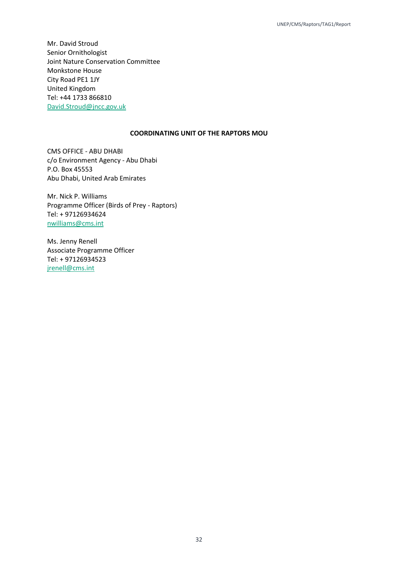Mr. David Stroud Senior Ornithologist Joint Nature Conservation Committee Monkstone House City Road PE1 1JY United Kingdom Tel: +44 1733 866810 [David.Stroud@jncc.gov.uk](mailto:David.Stroud@jncc.gov.uk)

#### **COORDINATING UNIT OF THE RAPTORS MOU**

CMS OFFICE - ABU DHABI c/o Environment Agency - Abu Dhabi P.O. Box 45553 Abu Dhabi, United Arab Emirates

Mr. Nick P. Williams Programme Officer (Birds of Prey - Raptors) Tel: + 97126934624 [nwilliams@cms.int](mailto:nwilliams@cms.int)

Ms. Jenny Renell Associate Programme Officer Tel: + 97126934523 [jrenell@cms.int](mailto:jrenell@cms.int)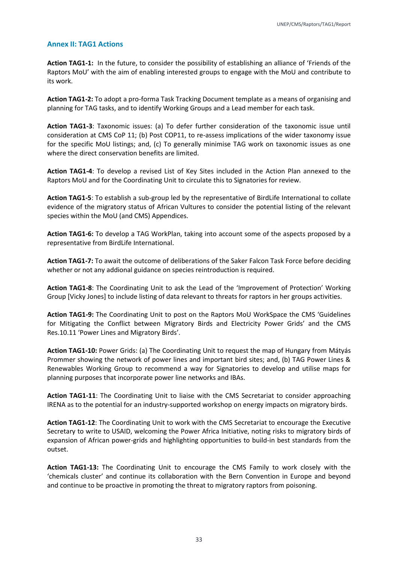#### <span id="page-33-0"></span>**Annex II: TAG1 Actions**

**Action TAG1-1:** In the future, to consider the possibility of establishing an alliance of 'Friends of the Raptors MoU' with the aim of enabling interested groups to engage with the MoU and contribute to its work.

**Action TAG1-2:** To adopt a pro-forma Task Tracking Document template as a means of organising and planning for TAG tasks, and to identify Working Groups and a Lead member for each task.

**Action TAG1-3**: Taxonomic issues: (a) To defer further consideration of the taxonomic issue until consideration at CMS CoP 11; (b) Post COP11, to re-assess implications of the wider taxonomy issue for the specific MoU listings; and, (c) To generally minimise TAG work on taxonomic issues as one where the direct conservation benefits are limited.

**Action TAG1-4**: To develop a revised List of Key Sites included in the Action Plan annexed to the Raptors MoU and for the Coordinating Unit to circulate this to Signatories for review.

**Action TAG1-5**: To establish a sub-group led by the representative of BirdLife International to collate evidence of the migratory status of African Vultures to consider the potential listing of the relevant species within the MoU (and CMS) Appendices.

**Action TAG1-6:** To develop a TAG WorkPlan, taking into account some of the aspects proposed by a representative from BirdLife International.

**Action TAG1-7:** To await the outcome of deliberations of the Saker Falcon Task Force before deciding whether or not any addional guidance on species reintroduction is required.

**Action TAG1-8**: The Coordinating Unit to ask the Lead of the 'Improvement of Protection' Working Group [Vicky Jones] to include listing of data relevant to threats for raptors in her groups activities.

**Action TAG1-9:** The Coordinating Unit to post on the Raptors MoU WorkSpace the CMS 'Guidelines for Mitigating the Conflict between Migratory Birds and Electricity Power Grids' and the CMS Res.10.11 'Power Lines and Migratory Birds'.

**Action TAG1-10:** Power Grids: (a) The Coordinating Unit to request the map of Hungary from Mátyás Prommer showing the network of power lines and important bird sites; and, (b) TAG Power Lines & Renewables Working Group to recommend a way for Signatories to develop and utilise maps for planning purposes that incorporate power line networks and IBAs.

**Action TAG1-11**: The Coordinating Unit to liaise with the CMS Secretariat to consider approaching IRENA as to the potential for an industry-supported workshop on energy impacts on migratory birds.

**Action TAG1-12**: The Coordinating Unit to work with the CMS Secretariat to encourage the Executive Secretary to write to USAID, welcoming the Power Africa Initiative, noting risks to migratory birds of expansion of African power-grids and highlighting opportunities to build-in best standards from the outset.

**Action TAG1-13:** The Coordinating Unit to encourage the CMS Family to work closely with the 'chemicals cluster' and continue its collaboration with the Bern Convention in Europe and beyond and continue to be proactive in promoting the threat to migratory raptors from poisoning.